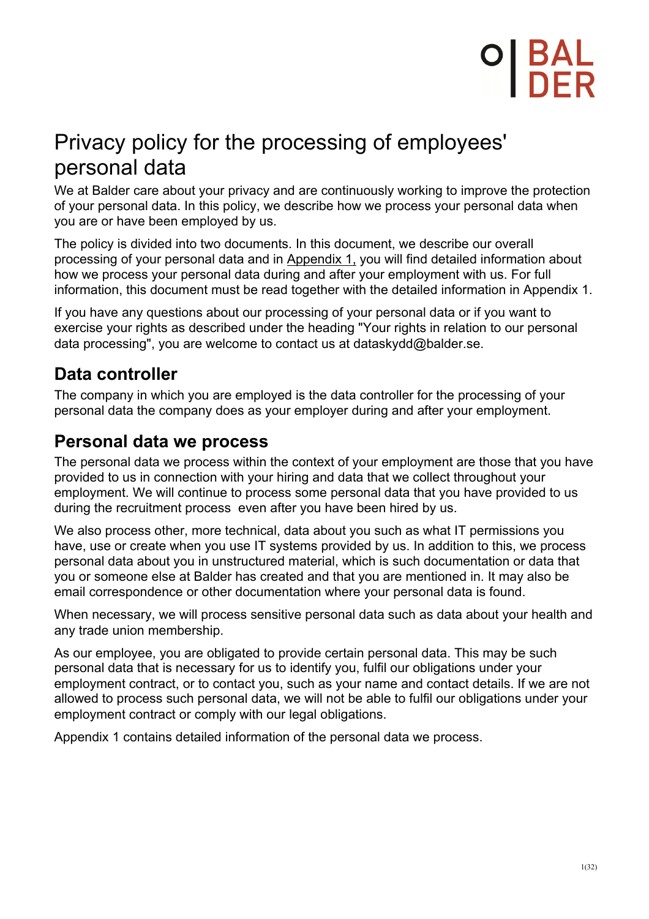## Privacy policy for the processing of employees' personal data

We at Balder care about your privacy and are continuously working to improve the protection of your personal data. In this policy, we describe how we process your personal data when you are or have been employed by us.

The policy is divided into two documents. In this document, we describe our overall processing of your personal data and in Appendix 1, you will find detailed information about how we process your personal data during and after your employment with us. For full information, this document must be read together with the detailed information in Appendix 1.

If you have any questions about our processing of your personal data or if you want to exercise your rights as described under the heading "Your rights in relation to our personal data processing", you are welcome to contact us at dataskydd@balder.se.

## **Data controller**

The company in which you are employed is the data controller for the processing of your personal data the company does as your employer during and after your employment.

### **Personal data we process**

The personal data we process within the context of your employment are those that you have provided to us in connection with your hiring and data that we collect throughout your employment. We will continue to process some personal data that you have provided to us during the recruitment process even after you have been hired by us.

We also process other, more technical, data about you such as what IT permissions you have, use or create when you use IT systems provided by us. In addition to this, we process personal data about you in unstructured material, which is such documentation or data that you or someone else at Balder has created and that you are mentioned in. It may also be email correspondence or other documentation where your personal data is found.

When necessary, we will process sensitive personal data such as data about your health and any trade union membership.

As our employee, you are obligated to provide certain personal data. This may be such personal data that is necessary for us to identify you, fulfil our obligations under your employment contract, or to contact you, such as your name and contact details. If we are not allowed to process such personal data, we will not be able to fulfil our obligations under your employment contract or comply with our legal obligations.

Appendix 1 contains detailed information of the personal data we process.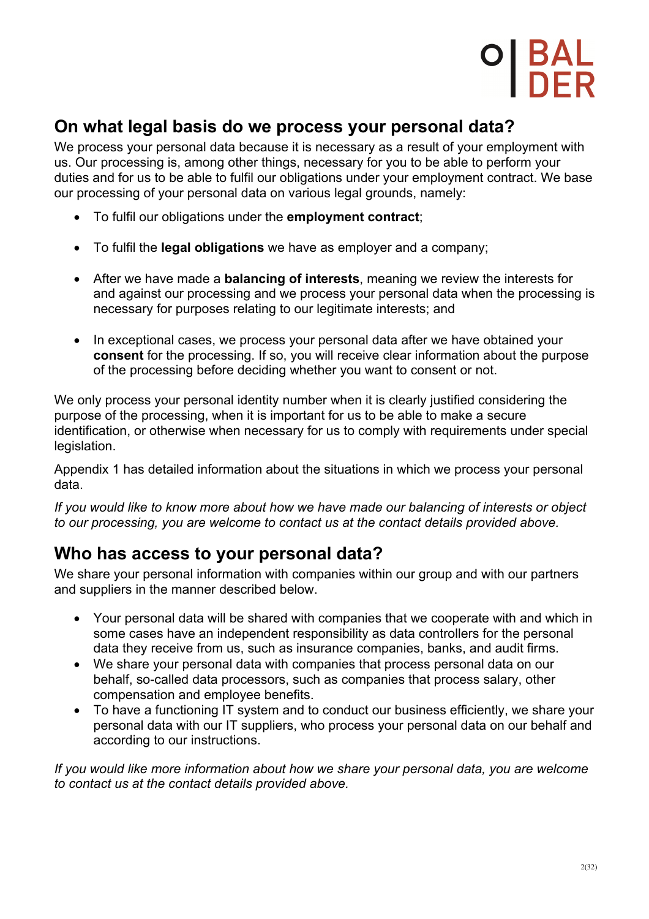### **On what legal basis do we process your personal data?**

We process your personal data because it is necessary as a result of your employment with us. Our processing is, among other things, necessary for you to be able to perform your duties and for us to be able to fulfil our obligations under your employment contract. We base our processing of your personal data on various legal grounds, namely:

- To fulfil our obligations under the **employment contract**;
- To fulfil the **legal obligations** we have as employer and a company;
- After we have made a **balancing of interests**, meaning we review the interests for and against our processing and we process your personal data when the processing is necessary for purposes relating to our legitimate interests; and
- In exceptional cases, we process your personal data after we have obtained your **consent** for the processing. If so, you will receive clear information about the purpose of the processing before deciding whether you want to consent or not.

We only process your personal identity number when it is clearly justified considering the purpose of the processing, when it is important for us to be able to make a secure identification, or otherwise when necessary for us to comply with requirements under special legislation.

Appendix 1 has detailed information about the situations in which we process your personal data.

*If you would like to know more about how we have made our balancing of interests or object to our processing, you are welcome to contact us at the contact details provided above.*

### **Who has access to your personal data?**

We share your personal information with companies within our group and with our partners and suppliers in the manner described below.

- Your personal data will be shared with companies that we cooperate with and which in some cases have an independent responsibility as data controllers for the personal data they receive from us, such as insurance companies, banks, and audit firms.
- We share your personal data with companies that process personal data on our behalf, so-called data processors, such as companies that process salary, other compensation and employee benefits.
- To have a functioning IT system and to conduct our business efficiently, we share your personal data with our IT suppliers, who process your personal data on our behalf and according to our instructions.

*If you would like more information about how we share your personal data, you are welcome to contact us at the contact details provided above.*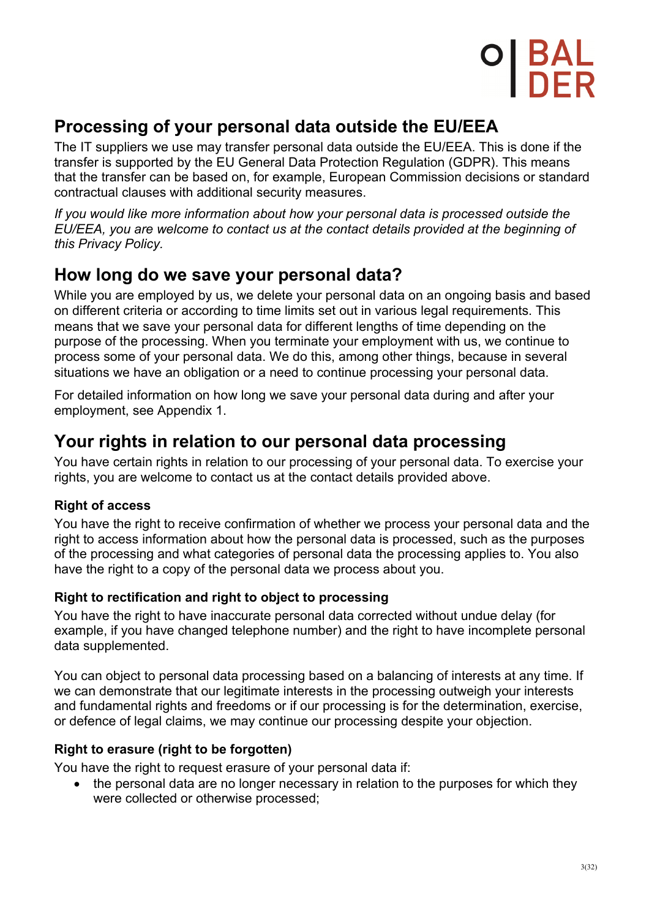## **Processing of your personal data outside the EU/EEA**

The IT suppliers we use may transfer personal data outside the EU/EEA. This is done if the transfer is supported by the EU General Data Protection Regulation (GDPR). This means that the transfer can be based on, for example, European Commission decisions or standard contractual clauses with additional security measures.

*If you would like more information about how your personal data is processed outside the EU/EEA, you are welcome to contact us at the contact details provided at the beginning of this Privacy Policy.*

## **How long do we save your personal data?**

While you are employed by us, we delete your personal data on an ongoing basis and based on different criteria or according to time limits set out in various legal requirements. This means that we save your personal data for different lengths of time depending on the purpose of the processing. When you terminate your employment with us, we continue to process some of your personal data. We do this, among other things, because in several situations we have an obligation or a need to continue processing your personal data.

For detailed information on how long we save your personal data during and after your employment, see Appendix 1.

### **Your rights in relation to our personal data processing**

You have certain rights in relation to our processing of your personal data. To exercise your rights, you are welcome to contact us at the contact details provided above.

### **Right of access**

You have the right to receive confirmation of whether we process your personal data and the right to access information about how the personal data is processed, such as the purposes of the processing and what categories of personal data the processing applies to. You also have the right to a copy of the personal data we process about you.

### **Right to rectification and right to object to processing**

You have the right to have inaccurate personal data corrected without undue delay (for example, if you have changed telephone number) and the right to have incomplete personal data supplemented.

You can object to personal data processing based on a balancing of interests at any time. If we can demonstrate that our legitimate interests in the processing outweigh your interests and fundamental rights and freedoms or if our processing is for the determination, exercise, or defence of legal claims, we may continue our processing despite your objection.

### **Right to erasure (right to be forgotten)**

You have the right to request erasure of your personal data if:

• the personal data are no longer necessary in relation to the purposes for which they were collected or otherwise processed;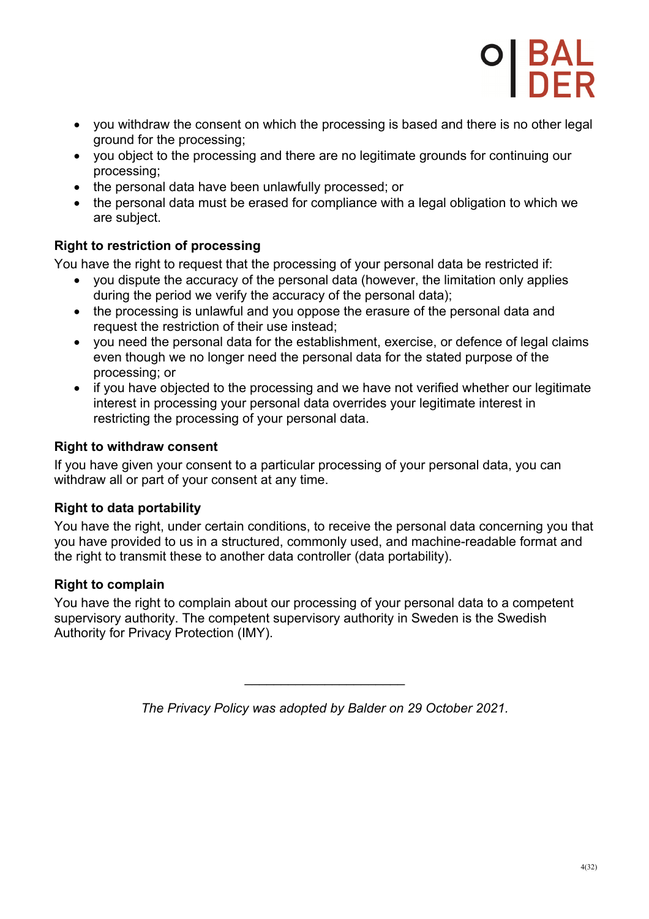

- you withdraw the consent on which the processing is based and there is no other legal ground for the processing;
- you object to the processing and there are no legitimate grounds for continuing our processing;
- the personal data have been unlawfully processed; or
- the personal data must be erased for compliance with a legal obligation to which we are subject.

### **Right to restriction of processing**

You have the right to request that the processing of your personal data be restricted if:

- you dispute the accuracy of the personal data (however, the limitation only applies during the period we verify the accuracy of the personal data);
- the processing is unlawful and you oppose the erasure of the personal data and request the restriction of their use instead;
- vou need the personal data for the establishment, exercise, or defence of legal claims even though we no longer need the personal data for the stated purpose of the processing; or
- if you have objected to the processing and we have not verified whether our legitimate interest in processing your personal data overrides your legitimate interest in restricting the processing of your personal data.

#### **Right to withdraw consent**

If you have given your consent to a particular processing of your personal data, you can withdraw all or part of your consent at any time.

#### **Right to data portability**

You have the right, under certain conditions, to receive the personal data concerning you that you have provided to us in a structured, commonly used, and machine-readable format and the right to transmit these to another data controller (data portability).

### **Right to complain**

You have the right to complain about our processing of your personal data to a competent supervisory authority. The competent supervisory authority in Sweden is the Swedish Authority for Privacy Protection (IMY).

*The Privacy Policy was adopted by Balder on 29 October 2021.*

 $\overline{\phantom{a}}$  , and the set of the set of the set of the set of the set of the set of the set of the set of the set of the set of the set of the set of the set of the set of the set of the set of the set of the set of the s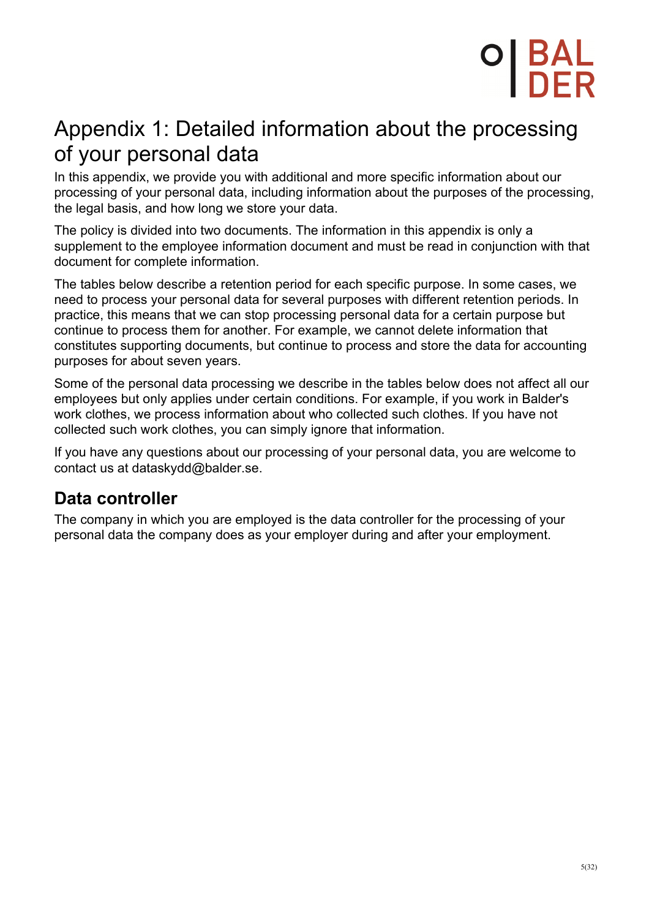## O| BAL<br>I DEP

## Appendix 1: Detailed information about the processing of your personal data

In this appendix, we provide you with additional and more specific information about our processing of your personal data, including information about the purposes of the processing, the legal basis, and how long we store your data.

The policy is divided into two documents. The information in this appendix is only a supplement to the employee information document and must be read in conjunction with that document for complete information.

The tables below describe a retention period for each specific purpose. In some cases, we need to process your personal data for several purposes with different retention periods. In practice, this means that we can stop processing personal data for a certain purpose but continue to process them for another. For example, we cannot delete information that constitutes supporting documents, but continue to process and store the data for accounting purposes for about seven years.

Some of the personal data processing we describe in the tables below does not affect all our employees but only applies under certain conditions. For example, if you work in Balder's work clothes, we process information about who collected such clothes. If you have not collected such work clothes, you can simply ignore that information.

If you have any questions about our processing of your personal data, you are welcome to contact us at dataskydd@balder.se.

### **Data controller**

The company in which you are employed is the data controller for the processing of your personal data the company does as your employer during and after your employment.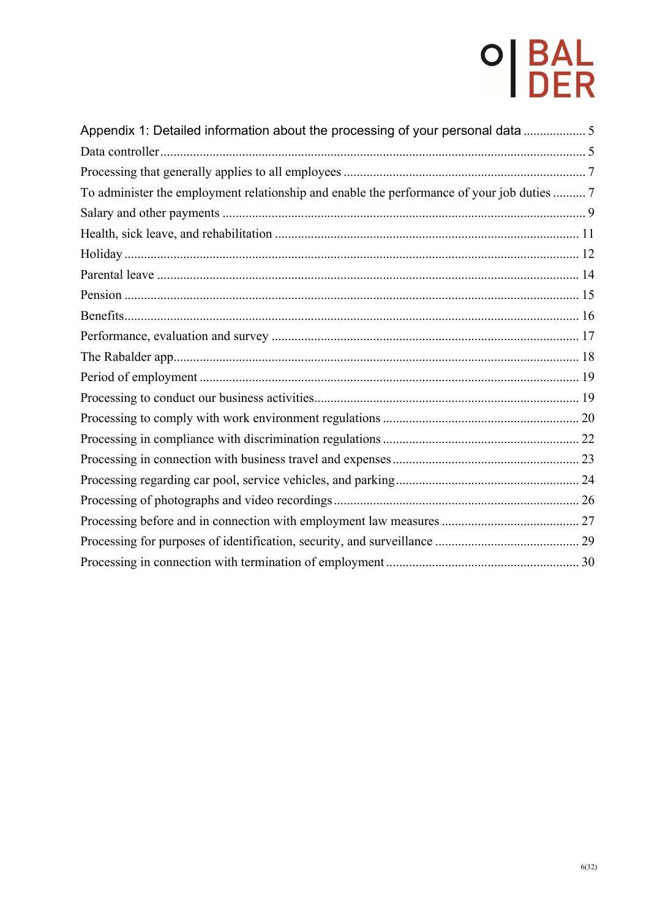| Appendix 1: Detailed information about the processing of your personal data 5              |
|--------------------------------------------------------------------------------------------|
|                                                                                            |
|                                                                                            |
| To administer the employment relationship and enable the performance of your job duties  7 |
|                                                                                            |
|                                                                                            |
|                                                                                            |
|                                                                                            |
|                                                                                            |
|                                                                                            |
|                                                                                            |
|                                                                                            |
|                                                                                            |
|                                                                                            |
|                                                                                            |
|                                                                                            |
|                                                                                            |
|                                                                                            |
|                                                                                            |
|                                                                                            |
|                                                                                            |
|                                                                                            |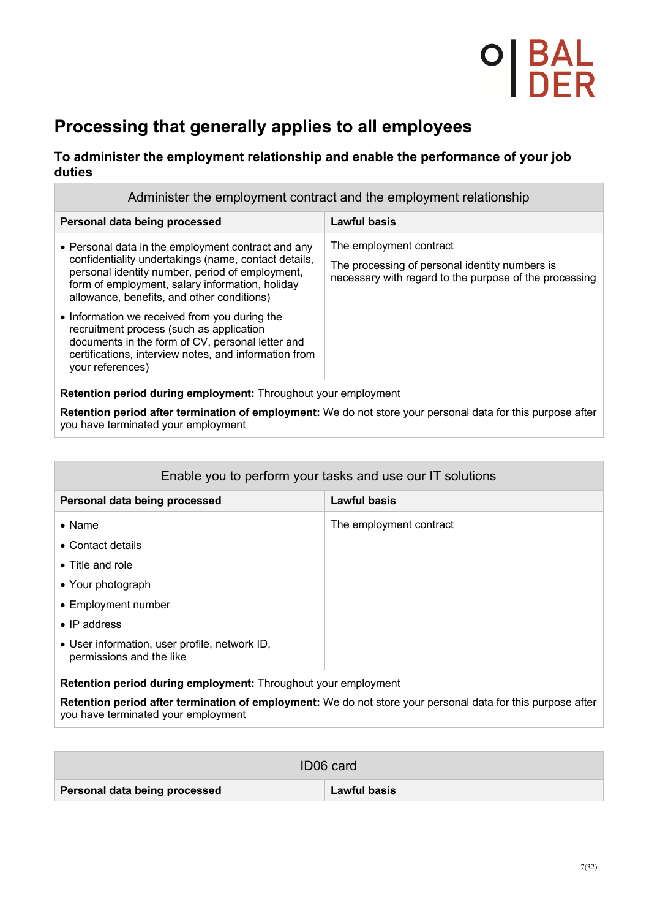## **Processing that generally applies to all employees**

#### **To administer the employment relationship and enable the performance of your job duties**

| Administer the employment contract and the employment relationship                                                                                                                                                                                             |                                                                                                                                     |
|----------------------------------------------------------------------------------------------------------------------------------------------------------------------------------------------------------------------------------------------------------------|-------------------------------------------------------------------------------------------------------------------------------------|
| Personal data being processed                                                                                                                                                                                                                                  | <b>Lawful basis</b>                                                                                                                 |
| • Personal data in the employment contract and any<br>confidentiality undertakings (name, contact details,<br>personal identity number, period of employment,<br>form of employment, salary information, holiday<br>allowance, benefits, and other conditions) | The employment contract<br>The processing of personal identity numbers is<br>necessary with regard to the purpose of the processing |
| • Information we received from you during the<br>recruitment process (such as application<br>documents in the form of CV, personal letter and<br>certifications, interview notes, and information from<br>your references)                                     |                                                                                                                                     |
| Retention period during employment: Throughout your employment                                                                                                                                                                                                 |                                                                                                                                     |

**Retention period after termination of employment:** We do not store your personal data for this purpose after you have terminated your employment

| Enable you to perform your tasks and use our IT solutions                 |                         |
|---------------------------------------------------------------------------|-------------------------|
| Personal data being processed                                             | Lawful basis            |
| $\bullet$ Name                                                            | The employment contract |
| • Contact details                                                         |                         |
| • Title and role                                                          |                         |
| • Your photograph                                                         |                         |
| • Employment number                                                       |                         |
| $\bullet$ IP address                                                      |                         |
| • User information, user profile, network ID,<br>permissions and the like |                         |
|                                                                           |                         |

**Retention period during employment:** Throughout your employment

**Retention period after termination of employment:** We do not store your personal data for this purpose after you have terminated your employment

| ID06 card                     |                     |
|-------------------------------|---------------------|
| Personal data being processed | <b>Lawful basis</b> |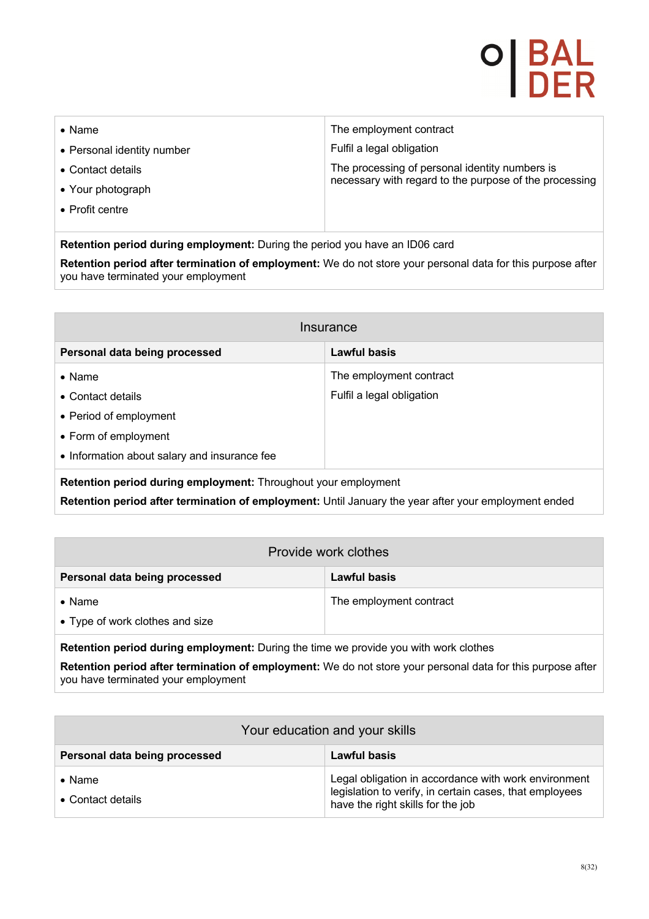| $\bullet$ Name             | The employment contract                                |
|----------------------------|--------------------------------------------------------|
| • Personal identity number | Fulfil a legal obligation                              |
| • Contact details          | The processing of personal identity numbers is         |
| • Your photograph          | necessary with regard to the purpose of the processing |
| • Profit centre            |                                                        |
|                            |                                                        |

**Retention period during employment:** During the period you have an ID06 card

**Retention period after termination of employment:** We do not store your personal data for this purpose after you have terminated your employment

| Insurance                                                                                            |                           |  |
|------------------------------------------------------------------------------------------------------|---------------------------|--|
| Personal data being processed                                                                        | Lawful basis              |  |
| $\bullet$ Name                                                                                       | The employment contract   |  |
| • Contact details                                                                                    | Fulfil a legal obligation |  |
| • Period of employment                                                                               |                           |  |
| • Form of employment                                                                                 |                           |  |
| • Information about salary and insurance fee                                                         |                           |  |
| Retention period during employment: Throughout your employment                                       |                           |  |
| Retention period after termination of employment: Until January the year after your employment ended |                           |  |

| Provide work clothes                                                                 |                         |
|--------------------------------------------------------------------------------------|-------------------------|
| Personal data being processed                                                        | Lawful basis            |
| $\bullet$ Name                                                                       | The employment contract |
| • Type of work clothes and size                                                      |                         |
| Retention period during employment: During the time we provide you with work clothes |                         |

**Retention period after termination of employment:** We do not store your personal data for this purpose after you have terminated your employment

| Your education and your skills      |                                                                                                                                                      |
|-------------------------------------|------------------------------------------------------------------------------------------------------------------------------------------------------|
| Personal data being processed       | Lawful basis                                                                                                                                         |
| $\bullet$ Name<br>• Contact details | Legal obligation in accordance with work environment<br>legislation to verify, in certain cases, that employees<br>have the right skills for the job |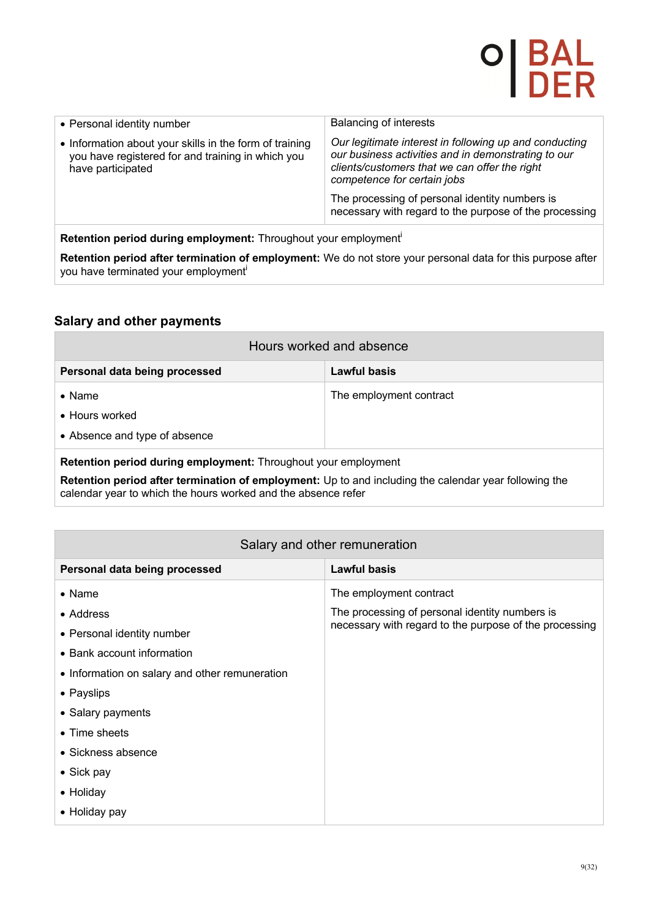| • Personal identity number                                                                                                        | <b>Balancing of interests</b>                                                                                                                                                                 |
|-----------------------------------------------------------------------------------------------------------------------------------|-----------------------------------------------------------------------------------------------------------------------------------------------------------------------------------------------|
| • Information about your skills in the form of training<br>you have registered for and training in which you<br>have participated | Our legitimate interest in following up and conducting<br>our business activities and in demonstrating to our<br>clients/customers that we can offer the right<br>competence for certain jobs |
|                                                                                                                                   | The processing of personal identity numbers is<br>necessary with regard to the purpose of the processing                                                                                      |
|                                                                                                                                   |                                                                                                                                                                                               |

**Retention period during employment:** Throughout your employmenti

**Retention period after termination of employment:** We do not store your personal data for this purpose after you have terminated your employment<sup>i</sup>

#### **Salary and other payments**

| Hours worked and absence                                       |                         |
|----------------------------------------------------------------|-------------------------|
| Personal data being processed                                  | Lawful basis            |
| $\bullet$ Name                                                 | The employment contract |
| • Hours worked                                                 |                         |
| • Absence and type of absence                                  |                         |
| Retention period during employment: Throughout your employment |                         |

**Retention period after termination of employment:** Up to and including the calendar year following the calendar year to which the hours worked and the absence refer

#### Salary and other remuneration

| Personal data being processed                  | <b>Lawful basis</b>                                    |
|------------------------------------------------|--------------------------------------------------------|
| $\bullet$ Name                                 | The employment contract                                |
| • Address                                      | The processing of personal identity numbers is         |
| • Personal identity number                     | necessary with regard to the purpose of the processing |
| • Bank account information                     |                                                        |
| • Information on salary and other remuneration |                                                        |
| • Payslips                                     |                                                        |
| • Salary payments                              |                                                        |
| $\bullet$ Time sheets                          |                                                        |
| $\bullet$ Sickness absence                     |                                                        |
| $\bullet$ Sick pay                             |                                                        |
| • Holiday                                      |                                                        |
| • Holiday pay                                  |                                                        |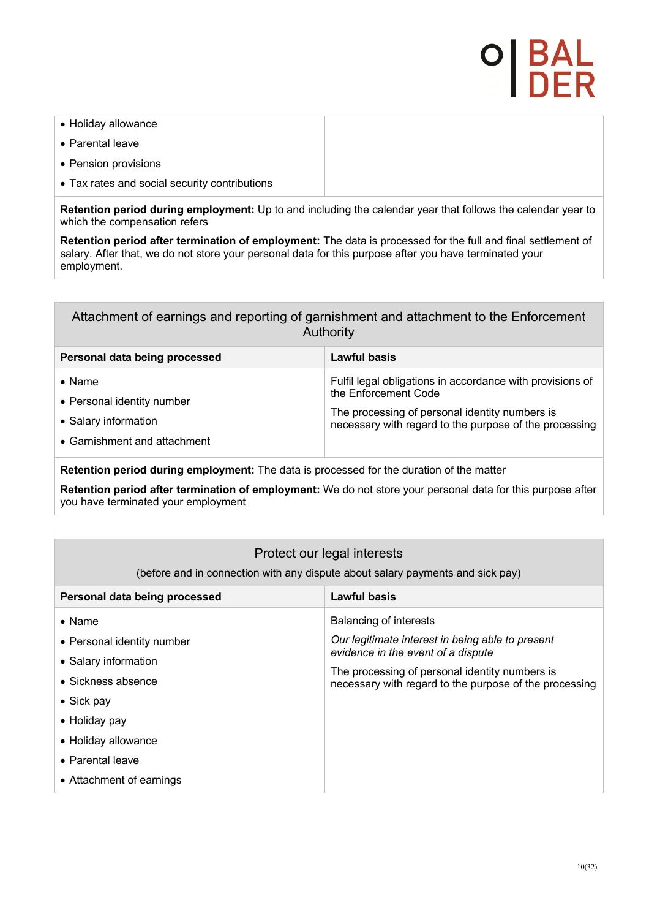# P | BA<br>I DE

- Holiday allowance
- Parental leave
- Pension provisions
- Tax rates and social security contributions

**Retention period during employment:** Up to and including the calendar year that follows the calendar year to which the compensation refers

**Retention period after termination of employment:** The data is processed for the full and final settlement of salary. After that, we do not store your personal data for this purpose after you have terminated your employment.

#### Attachment of earnings and reporting of garnishment and attachment to the Enforcement Authority

| Personal data being processed | Lawful basis                                                                                             |
|-------------------------------|----------------------------------------------------------------------------------------------------------|
| $\bullet$ Name                | Fulfil legal obligations in accordance with provisions of                                                |
| • Personal identity number    | the Enforcement Code                                                                                     |
| • Salary information          | The processing of personal identity numbers is<br>necessary with regard to the purpose of the processing |
| • Garnishment and attachment  |                                                                                                          |

**Retention period during employment:** The data is processed for the duration of the matter

**Retention period after termination of employment:** We do not store your personal data for this purpose after you have terminated your employment

### Protect our legal interests

(before and in connection with any dispute about salary payments and sick pay)

| Personal data being processed | <b>Lawful basis</b>                                                                                      |
|-------------------------------|----------------------------------------------------------------------------------------------------------|
| $\bullet$ Name                | <b>Balancing of interests</b>                                                                            |
| • Personal identity number    | Our legitimate interest in being able to present                                                         |
| • Salary information          | evidence in the event of a dispute                                                                       |
| • Sickness absence            | The processing of personal identity numbers is<br>necessary with regard to the purpose of the processing |
| • Sick pay                    |                                                                                                          |
| • Holiday pay                 |                                                                                                          |
| • Holiday allowance           |                                                                                                          |
| • Parental leave              |                                                                                                          |
| • Attachment of earnings      |                                                                                                          |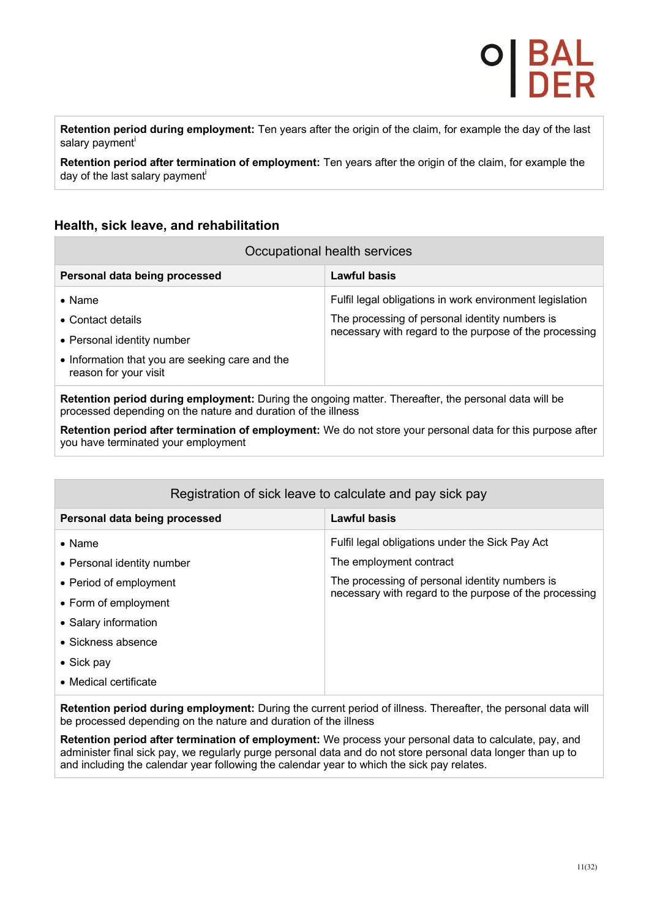**Retention period during employment:** Ten years after the origin of the claim, for example the day of the last salary payment<sup>i</sup>

**Retention period after termination of employment:** Ten years after the origin of the claim, for example the day of the last salary payment<sup>i</sup>

#### **Health, sick leave, and rehabilitation**

| Occupational health services                                             |                                                          |
|--------------------------------------------------------------------------|----------------------------------------------------------|
| Personal data being processed                                            | Lawful basis                                             |
| $\bullet$ Name                                                           | Fulfil legal obligations in work environment legislation |
| • Contact details                                                        | The processing of personal identity numbers is           |
| • Personal identity number                                               | necessary with regard to the purpose of the processing   |
| • Information that you are seeking care and the<br>reason for your visit |                                                          |
|                                                                          |                                                          |

**Retention period during employment:** During the ongoing matter. Thereafter, the personal data will be processed depending on the nature and duration of the illness

**Retention period after termination of employment:** We do not store your personal data for this purpose after you have terminated your employment

| Registration of sick leave to calculate and pay sick pay |                                                        |
|----------------------------------------------------------|--------------------------------------------------------|
| Personal data being processed                            | <b>Lawful basis</b>                                    |
| $\bullet$ Name                                           | Fulfil legal obligations under the Sick Pay Act        |
| • Personal identity number                               | The employment contract                                |
| • Period of employment                                   | The processing of personal identity numbers is         |
| • Form of employment                                     | necessary with regard to the purpose of the processing |
| • Salary information                                     |                                                        |
| • Sickness absence                                       |                                                        |
| $\bullet$ Sick pay                                       |                                                        |
| • Medical certificate                                    |                                                        |

**Retention period during employment:** During the current period of illness. Thereafter, the personal data will be processed depending on the nature and duration of the illness

**Retention period after termination of employment:** We process your personal data to calculate, pay, and administer final sick pay, we regularly purge personal data and do not store personal data longer than up to and including the calendar year following the calendar year to which the sick pay relates.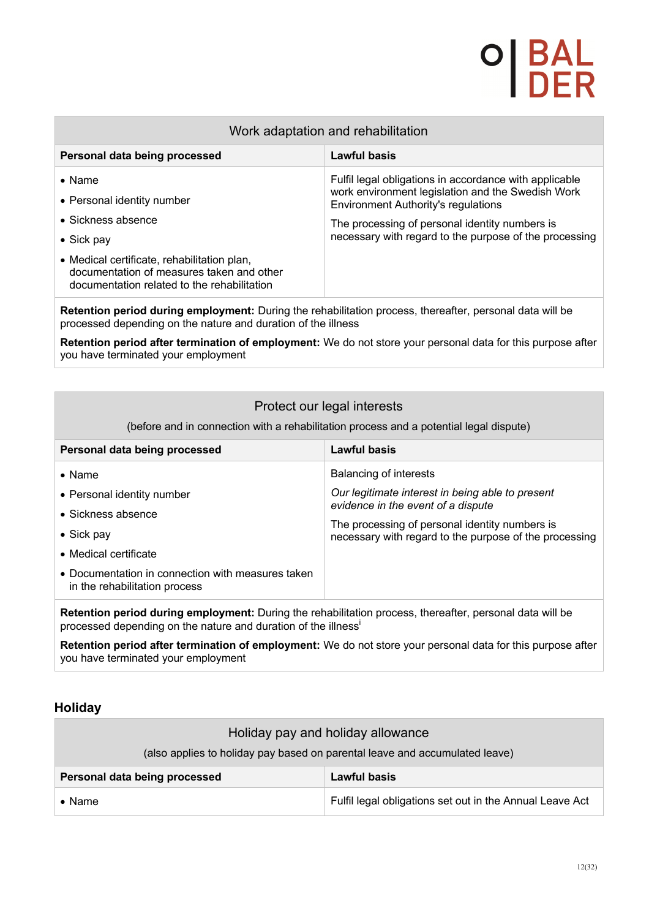| Work adaptation and rehabilitation                                                                                                                                                                                                  |                                                                                                                                                                                                                                                                       |
|-------------------------------------------------------------------------------------------------------------------------------------------------------------------------------------------------------------------------------------|-----------------------------------------------------------------------------------------------------------------------------------------------------------------------------------------------------------------------------------------------------------------------|
| Personal data being processed                                                                                                                                                                                                       | Lawful basis                                                                                                                                                                                                                                                          |
| $\bullet$ Name<br>• Personal identity number<br>• Sickness absence<br>$\bullet$ Sick pay<br>• Medical certificate, rehabilitation plan,<br>documentation of measures taken and other<br>documentation related to the rehabilitation | Fulfil legal obligations in accordance with applicable<br>work environment legislation and the Swedish Work<br><b>Environment Authority's regulations</b><br>The processing of personal identity numbers is<br>necessary with regard to the purpose of the processing |
| <b>Retention period during employment:</b> During the rebabilitation process, thereafter, personal data will be                                                                                                                     |                                                                                                                                                                                                                                                                       |

**Retention period during employment:** During the rehabilitation process, thereafter, personal data will be processed depending on the nature and duration of the illness

**Retention period after termination of employment:** We do not store your personal data for this purpose after you have terminated your employment

| Protect our legal interests<br>(before and in connection with a rehabilitation process and a potential legal dispute)                                                      |                                                                                                                                                |
|----------------------------------------------------------------------------------------------------------------------------------------------------------------------------|------------------------------------------------------------------------------------------------------------------------------------------------|
| Personal data being processed                                                                                                                                              | Lawful basis                                                                                                                                   |
| $\bullet$ Name<br>• Personal identity number                                                                                                                               | Balancing of interests<br>Our legitimate interest in being able to present                                                                     |
| • Sickness absence<br>$\bullet$ Sick pay<br>• Medical certificate                                                                                                          | evidence in the event of a dispute<br>The processing of personal identity numbers is<br>necessary with regard to the purpose of the processing |
| • Documentation in connection with measures taken<br>in the rehabilitation process                                                                                         |                                                                                                                                                |
| Retention period during employment: During the rehabilitation process, thereafter, personal data will be<br>processed depending on the nature and duration of the illness' |                                                                                                                                                |

**Retention period after termination of employment:** We do not store your personal data for this purpose after you have terminated your employment

#### **Holiday**

| Holiday pay and holiday allowance                                           |                                                          |
|-----------------------------------------------------------------------------|----------------------------------------------------------|
| (also applies to holiday pay based on parental leave and accumulated leave) |                                                          |
| Personal data being processed                                               | <b>Lawful basis</b>                                      |
| $\bullet$ Name                                                              | Fulfil legal obligations set out in the Annual Leave Act |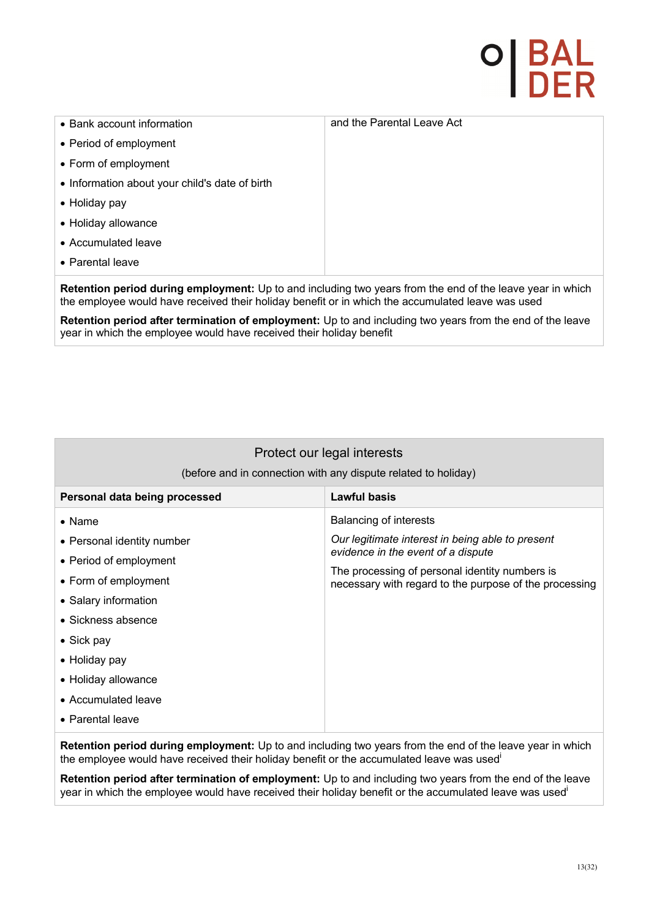# **DI BAL<br>I DER**

| • Bank account information                     | and the Parental Leave Act |
|------------------------------------------------|----------------------------|
| • Period of employment                         |                            |
| • Form of employment                           |                            |
| • Information about your child's date of birth |                            |
| • Holiday pay                                  |                            |
| • Holiday allowance                            |                            |
| • Accumulated leave                            |                            |
| • Parental leave                               |                            |
|                                                |                            |

**Retention period during employment:** Up to and including two years from the end of the leave year in which the employee would have received their holiday benefit or in which the accumulated leave was used

**Retention period after termination of employment:** Up to and including two years from the end of the leave year in which the employee would have received their holiday benefit

| Protect our legal interests<br>(before and in connection with any dispute related to holiday)                                                                                                                                                         |                                                                                                                                                                                                                              |
|-------------------------------------------------------------------------------------------------------------------------------------------------------------------------------------------------------------------------------------------------------|------------------------------------------------------------------------------------------------------------------------------------------------------------------------------------------------------------------------------|
| Personal data being processed                                                                                                                                                                                                                         | <b>Lawful basis</b>                                                                                                                                                                                                          |
| $\bullet$ Name<br>• Personal identity number<br>• Period of employment<br>• Form of employment<br>• Salary information<br>• Sickness absence<br>$\bullet$ Sick pay<br>• Holiday pay<br>• Holiday allowance<br>• Accumulated leave<br>• Parental leave | Balancing of interests<br>Our legitimate interest in being able to present<br>evidence in the event of a dispute<br>The processing of personal identity numbers is<br>necessary with regard to the purpose of the processing |
|                                                                                                                                                                                                                                                       |                                                                                                                                                                                                                              |

**Retention period during employment:** Up to and including two years from the end of the leave year in which the employee would have received their holiday benefit or the accumulated leave was used<sup>i</sup>

**Retention period after termination of employment:** Up to and including two years from the end of the leave year in which the employee would have received their holiday benefit or the accumulated leave was usedi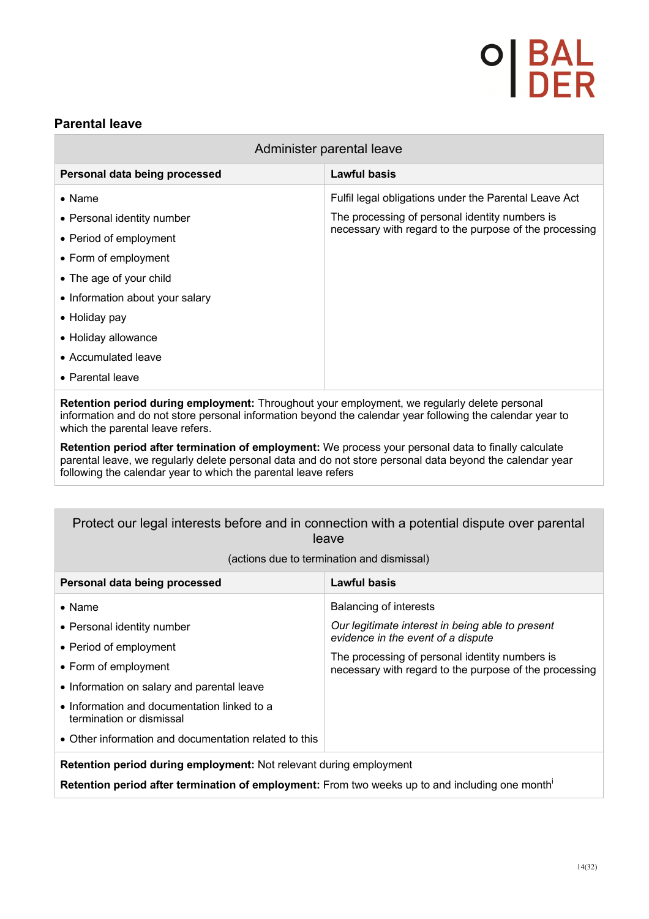# <sup>D</sup> BAL<br>DER

### **Parental leave**

| Administer parental leave       |                                                        |
|---------------------------------|--------------------------------------------------------|
| Personal data being processed   | <b>Lawful basis</b>                                    |
| $\bullet$ Name                  | Fulfil legal obligations under the Parental Leave Act  |
| • Personal identity number      | The processing of personal identity numbers is         |
| • Period of employment          | necessary with regard to the purpose of the processing |
| • Form of employment            |                                                        |
| • The age of your child         |                                                        |
| • Information about your salary |                                                        |
| • Holiday pay                   |                                                        |
| • Holiday allowance             |                                                        |
| • Accumulated leave             |                                                        |
| • Parental leave                |                                                        |
| .                               |                                                        |

**Retention period during employment:** Throughout your employment, we regularly delete personal information and do not store personal information beyond the calendar year following the calendar year to which the parental leave refers.

**Retention period after termination of employment:** We process your personal data to finally calculate parental leave, we regularly delete personal data and do not store personal data beyond the calendar year following the calendar year to which the parental leave refers

#### Protect our legal interests before and in connection with a potential dispute over parental leave

| Personal data being processed                                           | <b>Lawful basis</b>                                                                                      |
|-------------------------------------------------------------------------|----------------------------------------------------------------------------------------------------------|
| $\bullet$ Name                                                          | <b>Balancing of interests</b>                                                                            |
| • Personal identity number                                              | Our legitimate interest in being able to present                                                         |
| • Period of employment                                                  | evidence in the event of a dispute                                                                       |
| • Form of employment                                                    | The processing of personal identity numbers is<br>necessary with regard to the purpose of the processing |
| • Information on salary and parental leave                              |                                                                                                          |
| • Information and documentation linked to a<br>termination or dismissal |                                                                                                          |
| • Other information and documentation related to this                   |                                                                                                          |
| Detention nouis d'uning sandarment. Net relatent during sandarment      |                                                                                                          |

(actions due to termination and dismissal)

**Retention period during employment:** Not relevant during employment

**Retention period after termination of employment:** From two weeks up to and including one monthi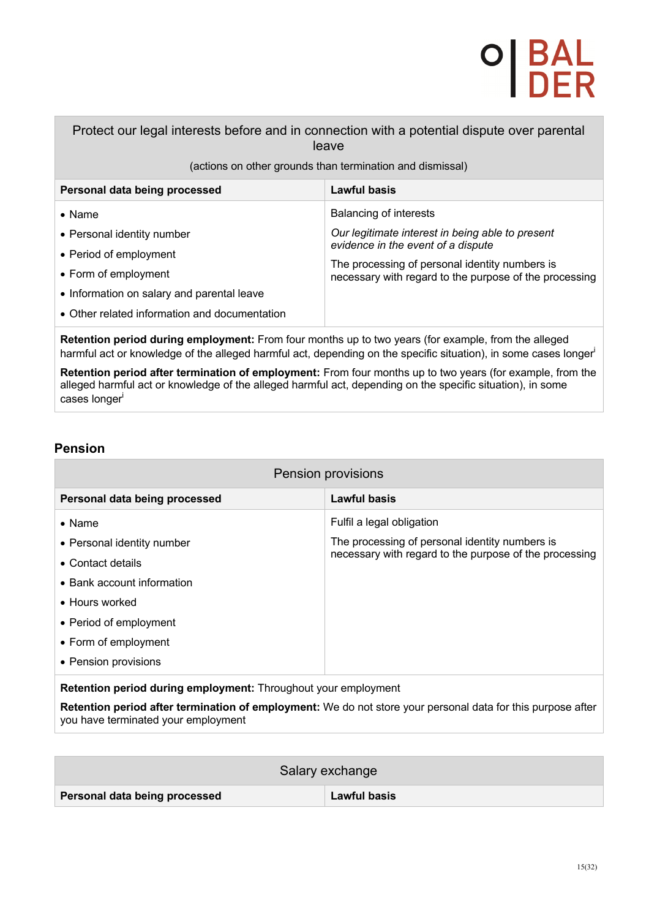# **DI BAL<br>I DER**

Protect our legal interests before and in connection with a potential dispute over parental leave

(actions on other grounds than termination and dismissal)

| Personal data being processed                                                                                                                                                                 | Lawful basis                                                                                                                                                                                                                        |
|-----------------------------------------------------------------------------------------------------------------------------------------------------------------------------------------------|-------------------------------------------------------------------------------------------------------------------------------------------------------------------------------------------------------------------------------------|
| $\bullet$ Name<br>• Personal identity number<br>• Period of employment<br>• Form of employment<br>• Information on salary and parental leave<br>• Other related information and documentation | <b>Balancing of interests</b><br>Our legitimate interest in being able to present<br>evidence in the event of a dispute<br>The processing of personal identity numbers is<br>necessary with regard to the purpose of the processing |

**Retention period during employment:** From four months up to two years (for example, from the alleged harmful act or knowledge of the alleged harmful act, depending on the specific situation), in some cases longer

**Retention period after termination of employment:** From four months up to two years (for example, from the alleged harmful act or knowledge of the alleged harmful act, depending on the specific situation), in some cases longeri 

### **Pension**

| Pension provisions                                                       |                                                        |
|--------------------------------------------------------------------------|--------------------------------------------------------|
| Personal data being processed                                            | <b>Lawful basis</b>                                    |
| $\bullet$ Name                                                           | Fulfil a legal obligation                              |
| • Personal identity number                                               | The processing of personal identity numbers is         |
| • Contact details                                                        | necessary with regard to the purpose of the processing |
| • Bank account information                                               |                                                        |
| • Hours worked                                                           |                                                        |
| • Period of employment                                                   |                                                        |
| • Form of employment                                                     |                                                        |
| • Pension provisions                                                     |                                                        |
| ■ 2008年2月20日 2月20日 1月20日 2月20日 2月20日 1月20日 1月20日 2月20日 2月20日 2月20日 2月20日 |                                                        |

**Retention period during employment:** Throughout your employment

**Retention period after termination of employment:** We do not store your personal data for this purpose after you have terminated your employment

| Salary exchange               |                     |
|-------------------------------|---------------------|
| Personal data being processed | <b>Lawful basis</b> |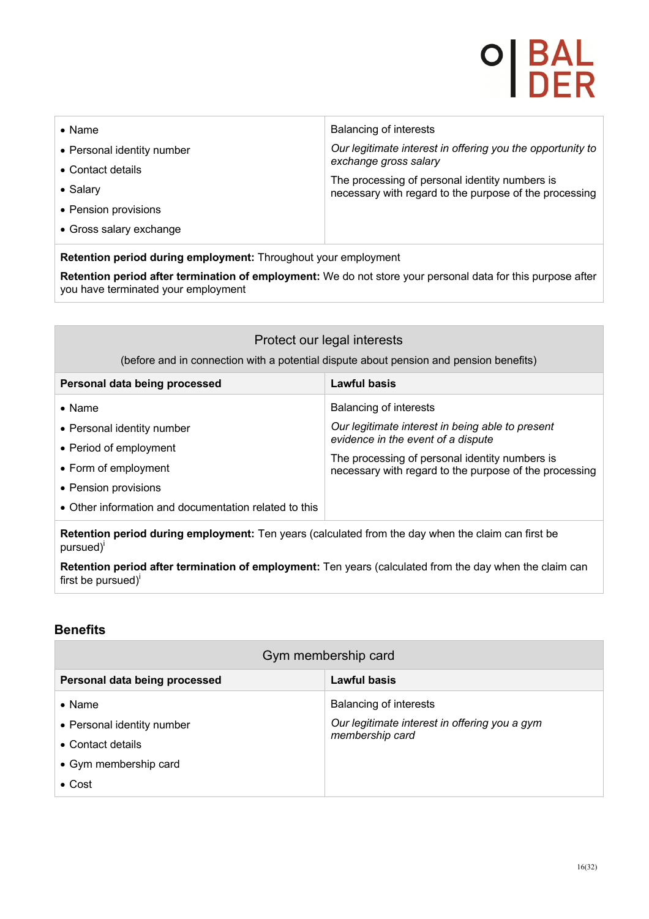# 이 BAL<br>| DER

| $\bullet$ Name                                                 | <b>Balancing of interests</b>                                                                            |
|----------------------------------------------------------------|----------------------------------------------------------------------------------------------------------|
| • Personal identity number                                     | Our legitimate interest in offering you the opportunity to                                               |
| • Contact details                                              | exchange gross salary                                                                                    |
| • Salary                                                       | The processing of personal identity numbers is<br>necessary with regard to the purpose of the processing |
| • Pension provisions                                           |                                                                                                          |
| • Gross salary exchange                                        |                                                                                                          |
| Retention period during employment: Throughout your employment |                                                                                                          |

**Retention period after termination of employment:** We do not store your personal data for this purpose after you have terminated your employment

### Protect our legal interests

(before and in connection with a potential dispute about pension and pension benefits)

| Personal data being processed                                                                                          | Lawful basis                                                                                                                                                                                                                 |
|------------------------------------------------------------------------------------------------------------------------|------------------------------------------------------------------------------------------------------------------------------------------------------------------------------------------------------------------------------|
| $\bullet$ Name<br>• Personal identity number<br>• Period of employment<br>• Form of employment<br>• Pension provisions | Balancing of interests<br>Our legitimate interest in being able to present<br>evidence in the event of a dispute<br>The processing of personal identity numbers is<br>necessary with regard to the purpose of the processing |
| • Other information and documentation related to this                                                                  |                                                                                                                                                                                                                              |

**Retention period during employment:** Ten years (calculated from the day when the claim can first be pursued)<sup>i</sup>

**Retention period after termination of employment:** Ten years (calculated from the day when the claim can first be pursued $j^{i}$ 

#### **Benefits**

| Gym membership card           |                                               |
|-------------------------------|-----------------------------------------------|
| Personal data being processed | Lawful basis                                  |
| $\bullet$ Name                | <b>Balancing of interests</b>                 |
| • Personal identity number    | Our legitimate interest in offering you a gym |
| • Contact details             | membership card                               |
| • Gym membership card         |                                               |
| $\bullet$ Cost                |                                               |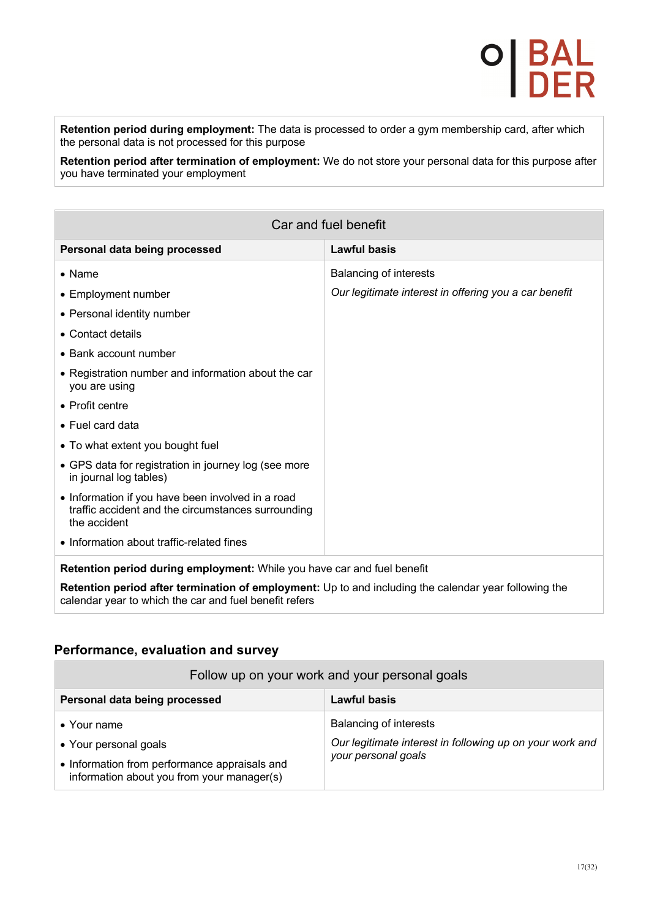**Retention period during employment:** The data is processed to order a gym membership card, after which the personal data is not processed for this purpose

**Retention period after termination of employment:** We do not store your personal data for this purpose after you have terminated your employment

| Car and fuel benefit                                                                                                                                            |                                                       |
|-----------------------------------------------------------------------------------------------------------------------------------------------------------------|-------------------------------------------------------|
| Personal data being processed                                                                                                                                   | <b>Lawful basis</b>                                   |
| $\bullet$ Name                                                                                                                                                  | <b>Balancing of interests</b>                         |
| • Employment number                                                                                                                                             | Our legitimate interest in offering you a car benefit |
| • Personal identity number                                                                                                                                      |                                                       |
| • Contact details                                                                                                                                               |                                                       |
| • Bank account number                                                                                                                                           |                                                       |
| • Registration number and information about the car<br>you are using                                                                                            |                                                       |
| • Profit centre                                                                                                                                                 |                                                       |
| • Fuel card data                                                                                                                                                |                                                       |
| • To what extent you bought fuel                                                                                                                                |                                                       |
| • GPS data for registration in journey log (see more<br>in journal log tables)                                                                                  |                                                       |
| • Information if you have been involved in a road<br>traffic accident and the circumstances surrounding<br>the accident                                         |                                                       |
| • Information about traffic-related fines                                                                                                                       |                                                       |
| Retention period during employment: While you have car and fuel benefit                                                                                         |                                                       |
| Retention period after termination of employment: Up to and including the calendar year following the<br>calendar year to which the car and fuel benefit refers |                                                       |

#### **Performance, evaluation and survey**

| Follow up on your work and your personal goals                                              |                                                          |
|---------------------------------------------------------------------------------------------|----------------------------------------------------------|
| Personal data being processed                                                               | Lawful basis                                             |
| $\bullet$ Your name                                                                         | <b>Balancing of interests</b>                            |
| • Your personal goals                                                                       | Our legitimate interest in following up on your work and |
| • Information from performance appraisals and<br>information about you from your manager(s) | your personal goals                                      |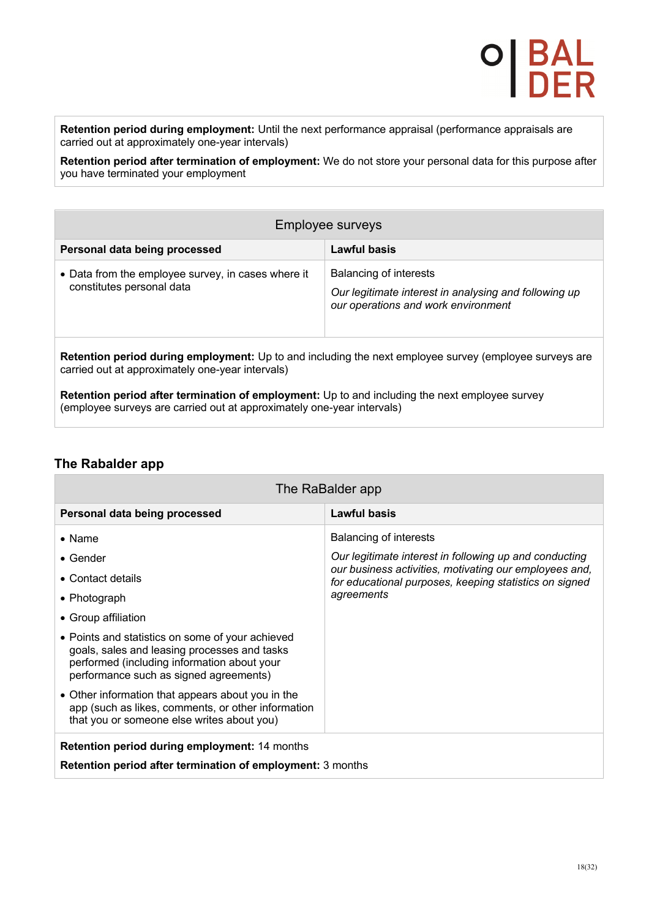**Retention period during employment:** Until the next performance appraisal (performance appraisals are carried out at approximately one-year intervals)

**Retention period after termination of employment:** We do not store your personal data for this purpose after you have terminated your employment

| Employee surveys                                                                                                                                           |                                                                                                                        |
|------------------------------------------------------------------------------------------------------------------------------------------------------------|------------------------------------------------------------------------------------------------------------------------|
| Personal data being processed                                                                                                                              | Lawful basis                                                                                                           |
| • Data from the employee survey, in cases where it<br>constitutes personal data                                                                            | Balancing of interests<br>Our legitimate interest in analysing and following up<br>our operations and work environment |
| Retention period during employment: Up to and including the next employee survey (employee surveys are<br>carried out at approximately one-year intervals) |                                                                                                                        |

**Retention period after termination of employment:** Up to and including the next employee survey (employee surveys are carried out at approximately one-year intervals)

#### **The Rabalder app**

| The RaBalder app                                                                                                                                                                                                                                                                                                                                                          |                                                                                                                                                                                                                           |
|---------------------------------------------------------------------------------------------------------------------------------------------------------------------------------------------------------------------------------------------------------------------------------------------------------------------------------------------------------------------------|---------------------------------------------------------------------------------------------------------------------------------------------------------------------------------------------------------------------------|
| Personal data being processed                                                                                                                                                                                                                                                                                                                                             | <b>Lawful basis</b>                                                                                                                                                                                                       |
| $\bullet$ Name<br>$\bullet$ Gender<br>$\bullet$ Contact details<br>• Photograph                                                                                                                                                                                                                                                                                           | <b>Balancing of interests</b><br>Our legitimate interest in following up and conducting<br>our business activities, motivating our employees and,<br>for educational purposes, keeping statistics on signed<br>agreements |
| • Group affiliation<br>• Points and statistics on some of your achieved<br>goals, sales and leasing processes and tasks<br>performed (including information about your<br>performance such as signed agreements)<br>• Other information that appears about you in the<br>app (such as likes, comments, or other information<br>that you or someone else writes about you) |                                                                                                                                                                                                                           |
| <b>Retention period during employment: 14 months</b><br><b>Retention period after termination of employment: 3 months</b>                                                                                                                                                                                                                                                 |                                                                                                                                                                                                                           |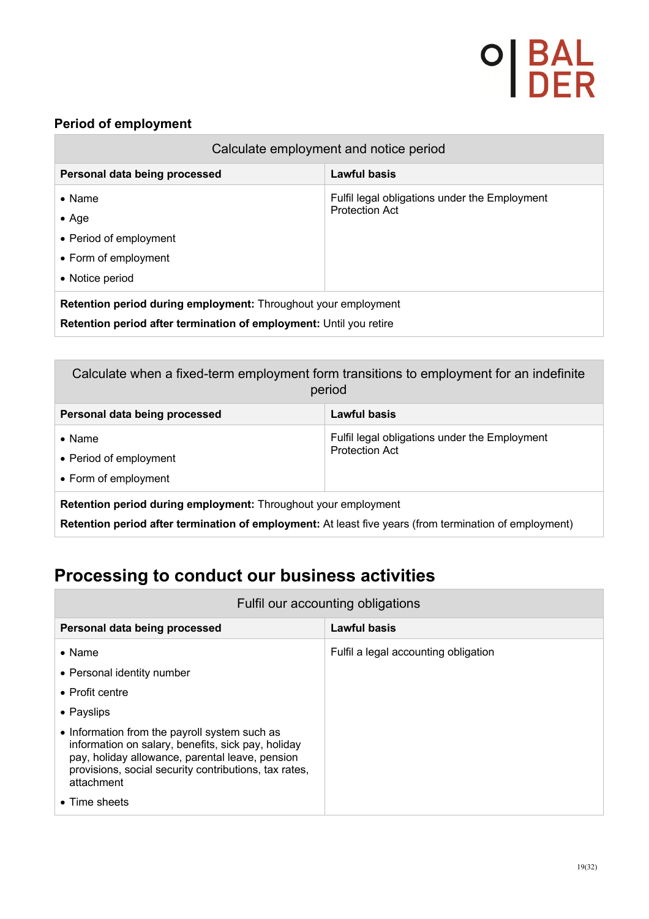#### **Period of employment**

| Calculate employment and notice period                                                                                                      |                                                                        |
|---------------------------------------------------------------------------------------------------------------------------------------------|------------------------------------------------------------------------|
| Personal data being processed                                                                                                               | Lawful basis                                                           |
| $\bullet$ Name<br>$\bullet$ Age<br>• Period of employment<br>• Form of employment<br>• Notice period                                        | Fulfil legal obligations under the Employment<br><b>Protection Act</b> |
| <b>Retention period during employment:</b> Throughout your employment<br>Retention period after termination of employment: Until you retire |                                                                        |

| Calculate when a fixed-term employment form transitions to employment for an indefinite<br>period                                                                        |                                                                        |
|--------------------------------------------------------------------------------------------------------------------------------------------------------------------------|------------------------------------------------------------------------|
| Personal data being processed                                                                                                                                            | Lawful basis                                                           |
| $\bullet$ Name<br>• Period of employment<br>• Form of employment                                                                                                         | Fulfil legal obligations under the Employment<br><b>Protection Act</b> |
| Retention period during employment: Throughout your employment<br>Retention period after termination of employment: At least five years (from termination of employment) |                                                                        |

## **Processing to conduct our business activities**

| Fulfil our accounting obligations                                                                                                                                                                                                                                                                                                               |                                      |
|-------------------------------------------------------------------------------------------------------------------------------------------------------------------------------------------------------------------------------------------------------------------------------------------------------------------------------------------------|--------------------------------------|
| Personal data being processed                                                                                                                                                                                                                                                                                                                   | Lawful basis                         |
| $\bullet$ Name<br>• Personal identity number<br>$\bullet$ Profit centre<br>• Payslips<br>• Information from the payroll system such as<br>information on salary, benefits, sick pay, holiday<br>pay, holiday allowance, parental leave, pension<br>provisions, social security contributions, tax rates,<br>attachment<br>$\bullet$ Time sheets | Fulfil a legal accounting obligation |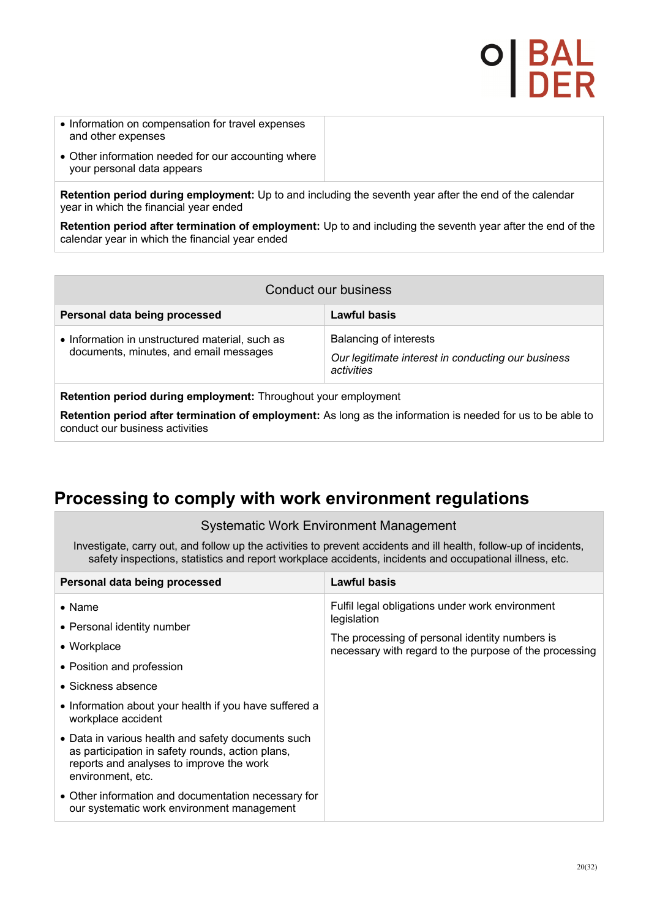- Information on compensation for travel expenses and other expenses
- Other information needed for our accounting where your personal data appears

**Retention period during employment:** Up to and including the seventh year after the end of the calendar year in which the financial year ended

**Retention period after termination of employment:** Up to and including the seventh year after the end of the calendar year in which the financial year ended

| Conduct our business                                                                      |                                                                                            |
|-------------------------------------------------------------------------------------------|--------------------------------------------------------------------------------------------|
| Personal data being processed                                                             | Lawful basis                                                                               |
| • Information in unstructured material, such as<br>documents, minutes, and email messages | Balancing of interests<br>Our legitimate interest in conducting our business<br>activities |

**Retention period during employment:** Throughout your employment

**Retention period after termination of employment:** As long as the information is needed for us to be able to conduct our business activities

### **Processing to comply with work environment regulations**

#### Systematic Work Environment Management

Investigate, carry out, and follow up the activities to prevent accidents and ill health, follow-up of incidents, safety inspections, statistics and report workplace accidents, incidents and occupational illness, etc.

| Personal data being processed                                                                                                                                           | Lawful basis                                                                                             |
|-------------------------------------------------------------------------------------------------------------------------------------------------------------------------|----------------------------------------------------------------------------------------------------------|
| $\bullet$ Name                                                                                                                                                          | Fulfil legal obligations under work environment<br>legislation                                           |
| • Personal identity number                                                                                                                                              |                                                                                                          |
| • Workplace                                                                                                                                                             | The processing of personal identity numbers is<br>necessary with regard to the purpose of the processing |
| • Position and profession                                                                                                                                               |                                                                                                          |
| • Sickness absence                                                                                                                                                      |                                                                                                          |
| • Information about your health if you have suffered a<br>workplace accident                                                                                            |                                                                                                          |
| • Data in various health and safety documents such<br>as participation in safety rounds, action plans,<br>reports and analyses to improve the work<br>environment, etc. |                                                                                                          |
| • Other information and documentation necessary for<br>our systematic work environment management                                                                       |                                                                                                          |

O| BA<br>I DE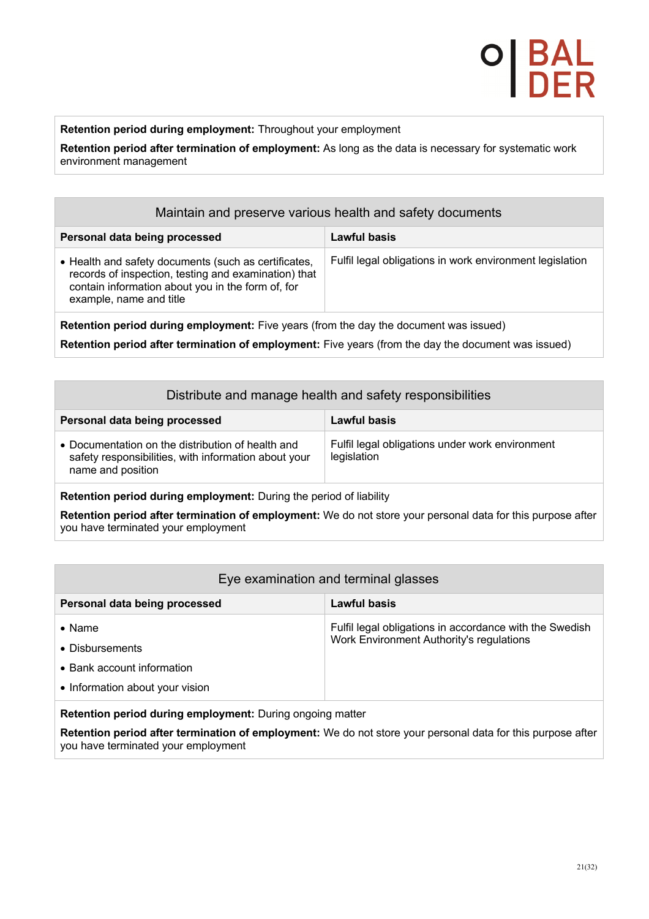**Retention period during employment:** Throughout your employment

**Retention period after termination of employment:** As long as the data is necessary for systematic work environment management

| Maintain and preserve various health and safety documents                                                                                                                                    |                                                          |
|----------------------------------------------------------------------------------------------------------------------------------------------------------------------------------------------|----------------------------------------------------------|
| Personal data being processed                                                                                                                                                                | Lawful basis                                             |
| • Health and safety documents (such as certificates,<br>records of inspection, testing and examination) that<br>contain information about you in the form of, for<br>example, name and title | Fulfil legal obligations in work environment legislation |
| Retention period during employment: Five years (from the day the document was issued)                                                                                                        |                                                          |

**Retention period after termination of employment:** Five years (from the day the document was issued)

| Distribute and manage health and safety responsibilities                                                                       |                                                                |  |
|--------------------------------------------------------------------------------------------------------------------------------|----------------------------------------------------------------|--|
| Personal data being processed                                                                                                  | Lawful basis                                                   |  |
| • Documentation on the distribution of health and<br>safety responsibilities, with information about your<br>name and position | Fulfil legal obligations under work environment<br>legislation |  |
| <b>Retention period during employment:</b> During the period of liability                                                      |                                                                |  |

**Retention period after termination of employment:** We do not store your personal data for this purpose after you have terminated your employment

| Eye examination and terminal glasses |                                                         |
|--------------------------------------|---------------------------------------------------------|
| Personal data being processed        | Lawful basis                                            |
| $\bullet$ Name                       | Fulfil legal obligations in accordance with the Swedish |
| • Disbursements                      | Work Environment Authority's regulations                |
| • Bank account information           |                                                         |
| • Information about your vision      |                                                         |
|                                      |                                                         |

**Retention period during employment:** During ongoing matter

**Retention period after termination of employment:** We do not store your personal data for this purpose after you have terminated your employment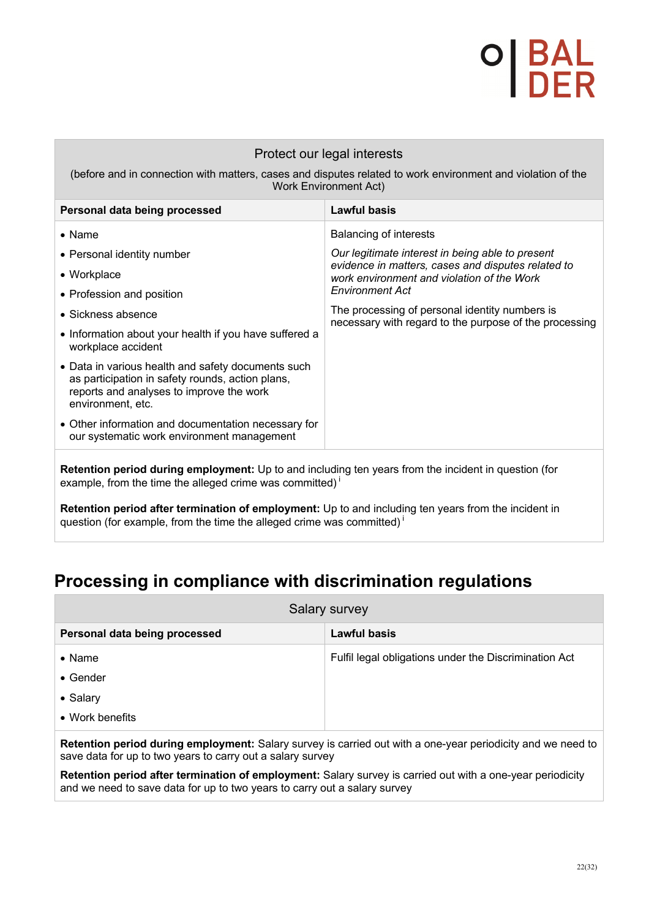## 이 B/<br>I DI

#### Protect our legal interests

(before and in connection with matters, cases and disputes related to work environment and violation of the Work Environment Act)

| Personal data being processed                                                                                                                                                | <b>Lawful basis</b>                                                                                      |
|------------------------------------------------------------------------------------------------------------------------------------------------------------------------------|----------------------------------------------------------------------------------------------------------|
| $\bullet$ Name                                                                                                                                                               | Balancing of interests                                                                                   |
| • Personal identity number                                                                                                                                                   | Our legitimate interest in being able to present                                                         |
| • Workplace                                                                                                                                                                  | evidence in matters, cases and disputes related to<br>work environment and violation of the Work         |
| • Profession and position                                                                                                                                                    | <b>Environment Act</b>                                                                                   |
| $\bullet$ Sickness absence                                                                                                                                                   | The processing of personal identity numbers is<br>necessary with regard to the purpose of the processing |
| • Information about your health if you have suffered a<br>workplace accident                                                                                                 |                                                                                                          |
| • Data in various health and safety documents such<br>as participation in safety rounds, action plans,<br>reports and analyses to improve the work<br>environment, etc.      |                                                                                                          |
| • Other information and documentation necessary for<br>our systematic work environment management                                                                            |                                                                                                          |
| Retention period during employment: Up to and including ten years from the incident in question (for<br>example, from the time the alleged crime was committed) <sup>1</sup> |                                                                                                          |

**Retention period after termination of employment:** Up to and including ten years from the incident in question (for example, from the time the alleged crime was committed)<sup>i</sup>

## **Processing in compliance with discrimination regulations**

| Salary survey                 |                                                       |
|-------------------------------|-------------------------------------------------------|
| Personal data being processed | Lawful basis                                          |
| $\bullet$ Name                | Fulfil legal obligations under the Discrimination Act |
| $\bullet$ Gender              |                                                       |
| • Salary                      |                                                       |
| • Work benefits               |                                                       |

**Retention period during employment:** Salary survey is carried out with a one-year periodicity and we need to save data for up to two years to carry out a salary survey

**Retention period after termination of employment:** Salary survey is carried out with a one-year periodicity and we need to save data for up to two years to carry out a salary survey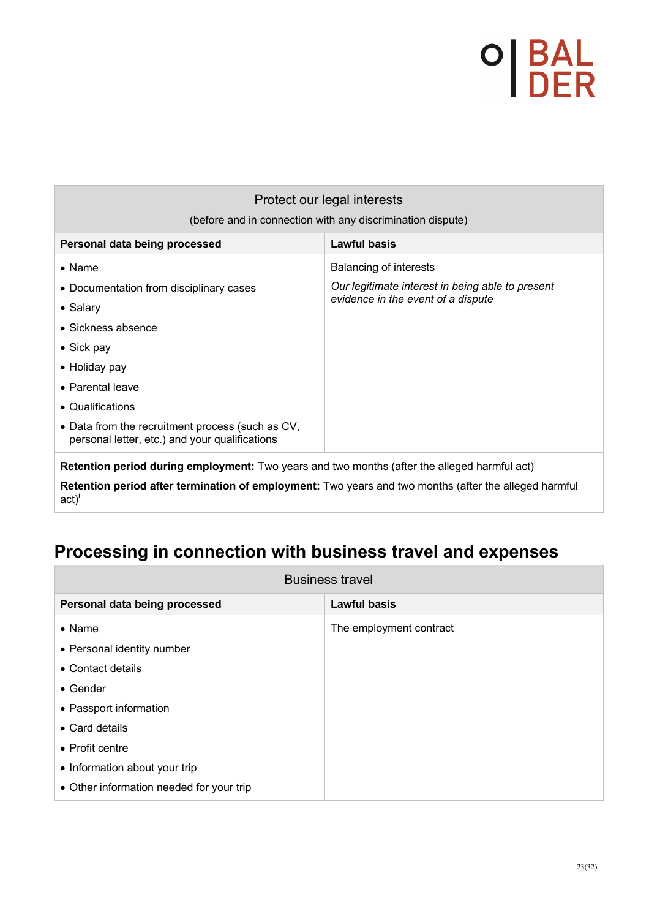| Protect our legal interests<br>(before and in connection with any discrimination dispute)                      |                                                  |  |
|----------------------------------------------------------------------------------------------------------------|--------------------------------------------------|--|
|                                                                                                                |                                                  |  |
| Personal data being processed                                                                                  | <b>Lawful basis</b>                              |  |
| $\bullet$ Name                                                                                                 | <b>Balancing of interests</b>                    |  |
| • Documentation from disciplinary cases                                                                        | Our legitimate interest in being able to present |  |
| • Salary                                                                                                       | evidence in the event of a dispute               |  |
| $\bullet$ Sickness absence                                                                                     |                                                  |  |
| $\bullet$ Sick pay                                                                                             |                                                  |  |
| $\bullet$ Holiday pay                                                                                          |                                                  |  |
| $\bullet$ Parental leave                                                                                       |                                                  |  |
| • Qualifications                                                                                               |                                                  |  |
| • Data from the recruitment process (such as CV,<br>personal letter, etc.) and your qualifications             |                                                  |  |
| Retention period during employment: Two years and two months (after the alleged harmful act)'                  |                                                  |  |
| Retention period after termination of employment: Two years and two months (after the alleged harmful<br>act)' |                                                  |  |

## **Processing in connection with business travel and expenses**

| <b>Business travel</b>                   |                         |  |
|------------------------------------------|-------------------------|--|
| Personal data being processed            | <b>Lawful basis</b>     |  |
| $\bullet$ Name                           | The employment contract |  |
| • Personal identity number               |                         |  |
| • Contact details                        |                         |  |
| • Gender                                 |                         |  |
| • Passport information                   |                         |  |
| • Card details                           |                         |  |
| • Profit centre                          |                         |  |
| • Information about your trip            |                         |  |
| • Other information needed for your trip |                         |  |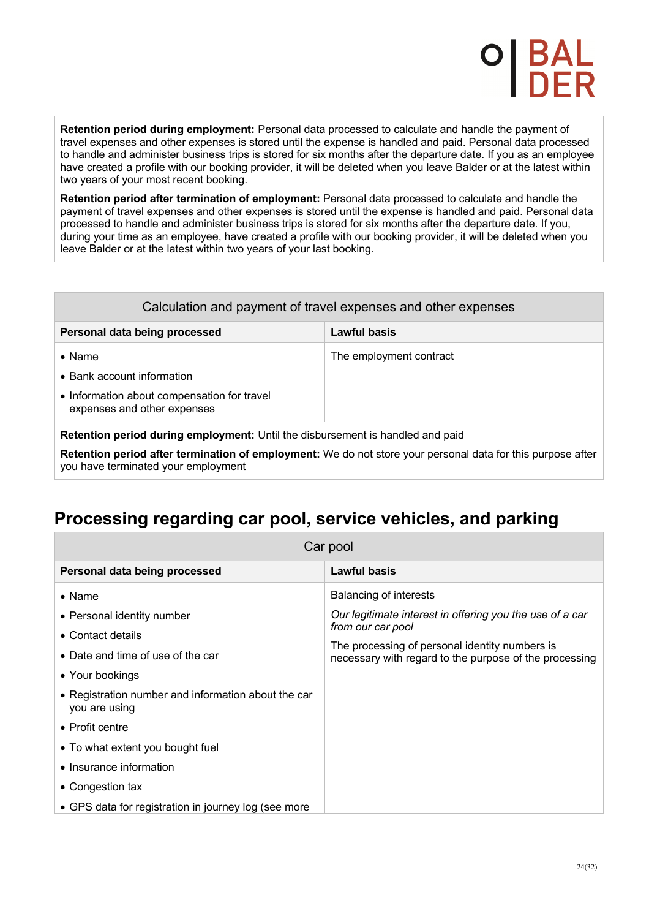**Retention period during employment:** Personal data processed to calculate and handle the payment of travel expenses and other expenses is stored until the expense is handled and paid. Personal data processed to handle and administer business trips is stored for six months after the departure date. If you as an employee have created a profile with our booking provider, it will be deleted when you leave Balder or at the latest within two years of your most recent booking.

**Retention period after termination of employment:** Personal data processed to calculate and handle the payment of travel expenses and other expenses is stored until the expense is handled and paid. Personal data processed to handle and administer business trips is stored for six months after the departure date. If you, during your time as an employee, have created a profile with our booking provider, it will be deleted when you leave Balder or at the latest within two years of your last booking.

|  |  | Calculation and payment of travel expenses and other expenses |
|--|--|---------------------------------------------------------------|
|--|--|---------------------------------------------------------------|

| Personal data being processed                                                  | Lawful basis            |
|--------------------------------------------------------------------------------|-------------------------|
| $\bullet$ Name                                                                 | The employment contract |
| • Bank account information                                                     |                         |
| • Information about compensation for travel<br>expenses and other expenses     |                         |
| Retention period during employment: Until the disbursement is handled and paid |                         |

**Retention period after termination of employment:** We do not store your personal data for this purpose after you have terminated your employment

## **Processing regarding car pool, service vehicles, and parking**

| Car pool                                                             |                                                                                                          |  |
|----------------------------------------------------------------------|----------------------------------------------------------------------------------------------------------|--|
| Personal data being processed                                        | Lawful basis                                                                                             |  |
| $\bullet$ Name                                                       | Balancing of interests                                                                                   |  |
| • Personal identity number                                           | Our legitimate interest in offering you the use of a car<br>from our car pool                            |  |
| • Contact details<br>• Date and time of use of the car               | The processing of personal identity numbers is<br>necessary with regard to the purpose of the processing |  |
| • Your bookings                                                      |                                                                                                          |  |
| • Registration number and information about the car<br>you are using |                                                                                                          |  |
| $\bullet$ Profit centre                                              |                                                                                                          |  |
| • To what extent you bought fuel                                     |                                                                                                          |  |
| • Insurance information                                              |                                                                                                          |  |
| • Congestion tax                                                     |                                                                                                          |  |
| • GPS data for registration in journey log (see more                 |                                                                                                          |  |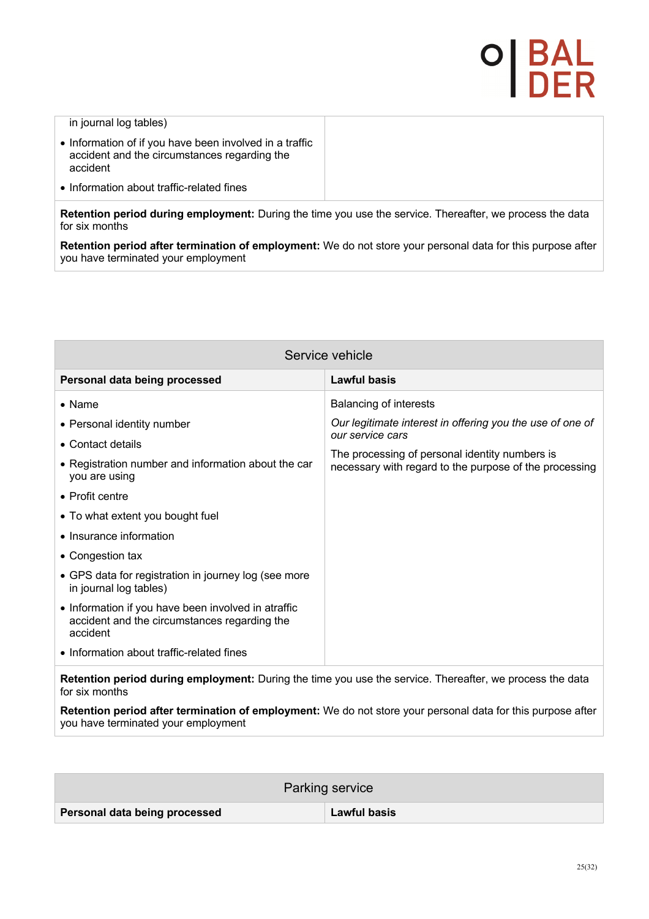#### in journal log tables)

- Information of if you have been involved in a traffic accident and the circumstances regarding the accident
- Information about traffic-related fines

**Retention period during employment:** During the time you use the service. Thereafter, we process the data for six months

**Retention period after termination of employment:** We do not store your personal data for this purpose after you have terminated your employment

| Service vehicle                                                                                                 |                                                                                                          |  |
|-----------------------------------------------------------------------------------------------------------------|----------------------------------------------------------------------------------------------------------|--|
| Personal data being processed                                                                                   | Lawful basis                                                                                             |  |
| $\bullet$ Name                                                                                                  | <b>Balancing of interests</b>                                                                            |  |
| • Personal identity number                                                                                      | Our legitimate interest in offering you the use of one of<br>our service cars                            |  |
| • Contact details                                                                                               |                                                                                                          |  |
| • Registration number and information about the car<br>you are using                                            | The processing of personal identity numbers is<br>necessary with regard to the purpose of the processing |  |
| • Profit centre                                                                                                 |                                                                                                          |  |
| • To what extent you bought fuel                                                                                |                                                                                                          |  |
| • Insurance information                                                                                         |                                                                                                          |  |
| • Congestion tax                                                                                                |                                                                                                          |  |
| • GPS data for registration in journey log (see more<br>in journal log tables)                                  |                                                                                                          |  |
| • Information if you have been involved in atraffic<br>accident and the circumstances regarding the<br>accident |                                                                                                          |  |
| • Information about traffic-related fines                                                                       |                                                                                                          |  |
| <b>Retention period during employment:</b> During the time you use the service. Thereafter, we process the data |                                                                                                          |  |

**Retention period during employment:** During the time you use the service. Thereafter, we process the data for six months

**Retention period after termination of employment:** We do not store your personal data for this purpose after you have terminated your employment

| Parking service               |                     |
|-------------------------------|---------------------|
| Personal data being processed | <b>Lawful basis</b> |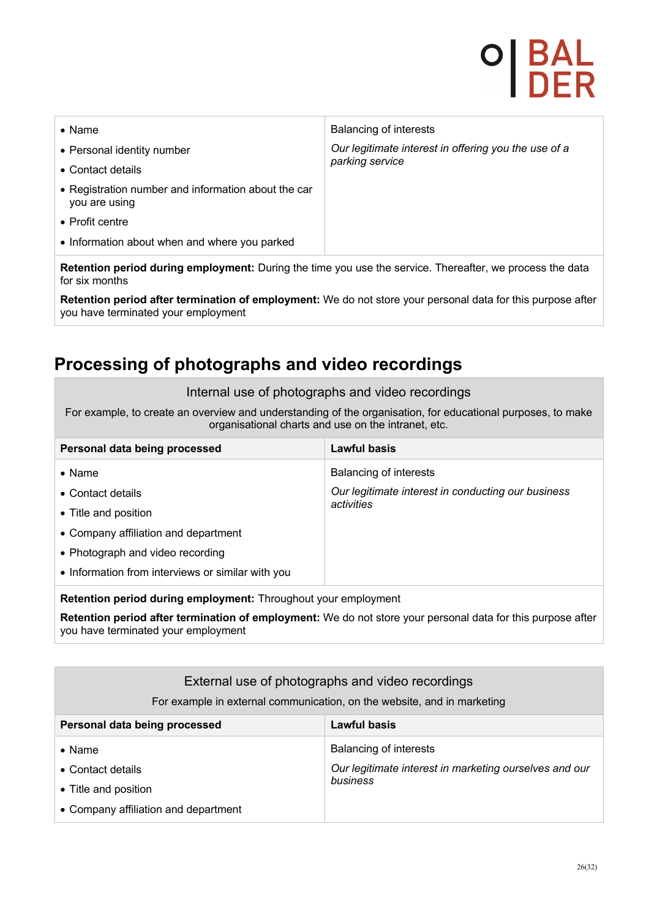# P | B/<br>I DI

| $\bullet$ Name                                                       | <b>Balancing of interests</b>                        |
|----------------------------------------------------------------------|------------------------------------------------------|
| • Personal identity number                                           | Our legitimate interest in offering you the use of a |
| • Contact details                                                    | parking service                                      |
| • Registration number and information about the car<br>you are using |                                                      |
| • Profit centre                                                      |                                                      |
| • Information about when and where you parked                        |                                                      |
|                                                                      |                                                      |

**Retention period during employment:** During the time you use the service. Thereafter, we process the data for six months

**Retention period after termination of employment:** We do not store your personal data for this purpose after you have terminated your employment

## **Processing of photographs and video recordings**

#### Internal use of photographs and video recordings

For example, to create an overview and understanding of the organisation, for educational purposes, to make organisational charts and use on the intranet, etc.

| Personal data being processed                                         | Lawful basis                                       |
|-----------------------------------------------------------------------|----------------------------------------------------|
| $\bullet$ Name                                                        | Balancing of interests                             |
| • Contact details                                                     | Our legitimate interest in conducting our business |
| • Title and position                                                  | activities                                         |
| • Company affiliation and department                                  |                                                    |
| • Photograph and video recording                                      |                                                    |
| • Information from interviews or similar with you                     |                                                    |
| <b>Retention period during employment:</b> Throughout your employment |                                                    |

**Retention period after termination of employment:** We do not store your personal data for this purpose after you have terminated your employment

| External use of photographs and video recordings<br>For example in external communication, on the website, and in marketing |                                                        |
|-----------------------------------------------------------------------------------------------------------------------------|--------------------------------------------------------|
| Personal data being processed                                                                                               | Lawful basis                                           |
| $\bullet$ Name                                                                                                              | Balancing of interests                                 |
| • Contact details                                                                                                           | Our legitimate interest in marketing ourselves and our |
| • Title and position                                                                                                        | business                                               |
| • Company affiliation and department                                                                                        |                                                        |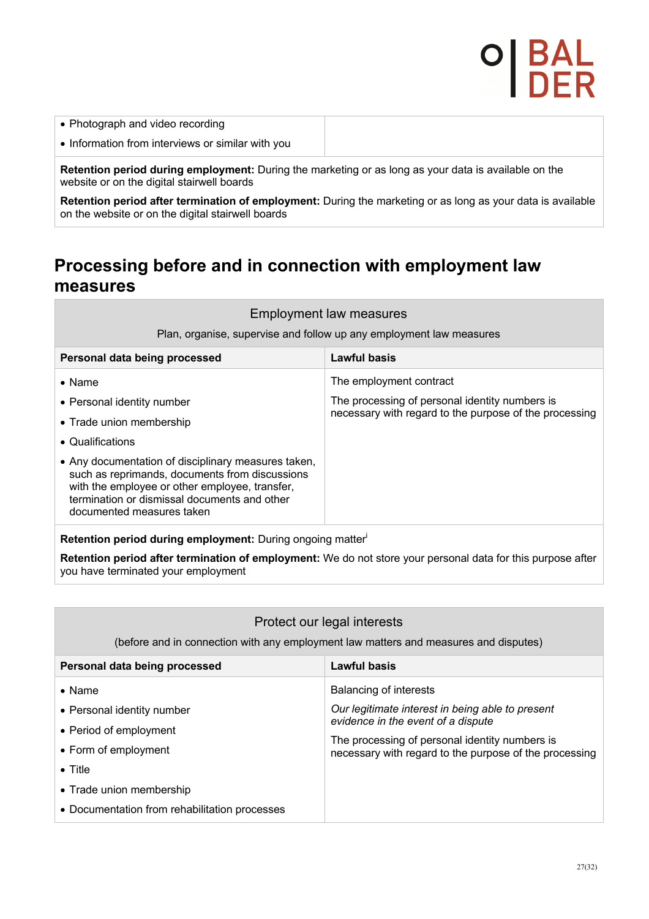- Photograph and video recording
- Information from interviews or similar with you

**Retention period during employment:** During the marketing or as long as your data is available on the website or on the digital stairwell boards

**Retention period after termination of employment:** During the marketing or as long as your data is available on the website or on the digital stairwell boards

### **Processing before and in connection with employment law measures**

| <b>Employment law measures</b> |  |  |
|--------------------------------|--|--|
|--------------------------------|--|--|

Plan, organise, supervise and follow up any employment law measures

| Personal data being processed                                                                                                                                                                                                        | Lawful basis                                           |
|--------------------------------------------------------------------------------------------------------------------------------------------------------------------------------------------------------------------------------------|--------------------------------------------------------|
| $\bullet$ Name                                                                                                                                                                                                                       | The employment contract                                |
| • Personal identity number                                                                                                                                                                                                           | The processing of personal identity numbers is         |
| • Trade union membership                                                                                                                                                                                                             | necessary with regard to the purpose of the processing |
| • Qualifications                                                                                                                                                                                                                     |                                                        |
| • Any documentation of disciplinary measures taken,<br>such as reprimands, documents from discussions<br>with the employee or other employee, transfer,<br>termination or dismissal documents and other<br>documented measures taken |                                                        |
| Retention period during employment: During ongoing matter                                                                                                                                                                            |                                                        |

**Retention period after termination of employment:** We do not store your personal data for this purpose after you have terminated your employment

#### Protect our legal interests

(before and in connection with any employment law matters and measures and disputes)

| Personal data being processed                 | Lawful basis                                                                                             |
|-----------------------------------------------|----------------------------------------------------------------------------------------------------------|
| $\bullet$ Name                                | <b>Balancing of interests</b>                                                                            |
| • Personal identity number                    | Our legitimate interest in being able to present                                                         |
| • Period of employment                        | evidence in the event of a dispute                                                                       |
| • Form of employment                          | The processing of personal identity numbers is<br>necessary with regard to the purpose of the processing |
| $\bullet$ Title                               |                                                                                                          |
| • Trade union membership                      |                                                                                                          |
| • Documentation from rehabilitation processes |                                                                                                          |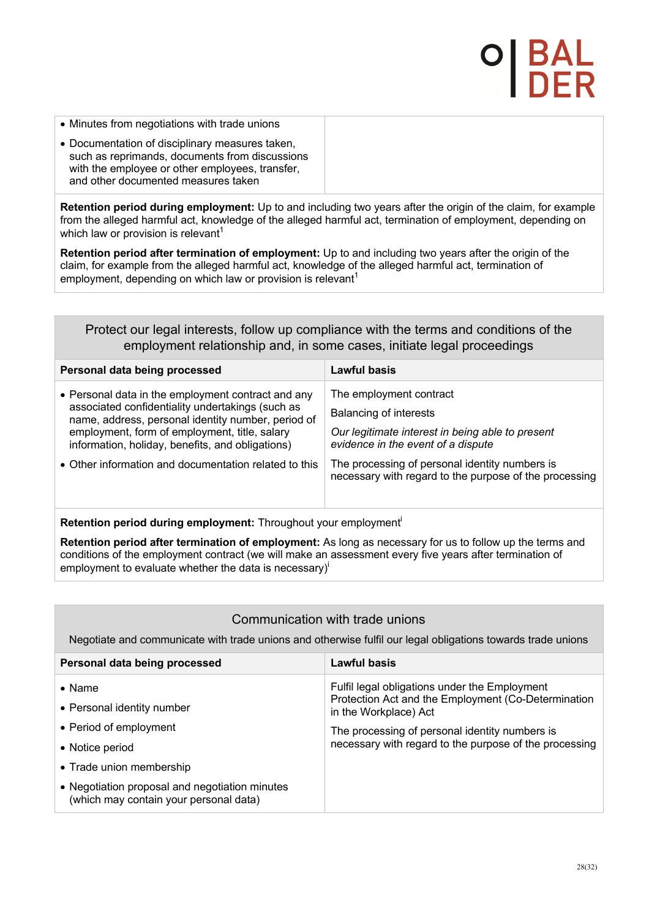- Minutes from negotiations with trade unions
- Documentation of disciplinary measures taken, such as reprimands, documents from discussions with the employee or other employees, transfer, and other documented measures taken

**Retention period during employment:** Up to and including two years after the origin of the claim, for example from the alleged harmful act, knowledge of the alleged harmful act, termination of employment, depending on which law or provision is relevant<sup>1</sup>

**Retention period after termination of employment:** Up to and including two years after the origin of the claim, for example from the alleged harmful act, knowledge of the alleged harmful act, termination of employment, depending on which law or provision is relevant<sup>1</sup>

### Protect our legal interests, follow up compliance with the terms and conditions of the employment relationship and, in some cases, initiate legal proceedings

| Personal data being processed                                                                                                                                                                                                                                     | Lawful basis                                                                                                                                       |
|-------------------------------------------------------------------------------------------------------------------------------------------------------------------------------------------------------------------------------------------------------------------|----------------------------------------------------------------------------------------------------------------------------------------------------|
| • Personal data in the employment contract and any<br>associated confidentiality undertakings (such as<br>name, address, personal identity number, period of<br>employment, form of employment, title, salary<br>information, holiday, benefits, and obligations) | The employment contract<br><b>Balancing of interests</b><br>Our legitimate interest in being able to present<br>evidence in the event of a dispute |
| • Other information and documentation related to this                                                                                                                                                                                                             | The processing of personal identity numbers is<br>necessary with regard to the purpose of the processing                                           |

**Retention period during employment:** Throughout your employment<sup>i</sup>

**Retention period after termination of employment:** As long as necessary for us to follow up the terms and conditions of the employment contract (we will make an assessment every five years after termination of employment to evaluate whether the data is necessary $i^{\dagger}$ 

### Communication with trade unions

Negotiate and communicate with trade unions and otherwise fulfil our legal obligations towards trade unions

| Personal data being processed                                                            | Lawful basis                                                                 |
|------------------------------------------------------------------------------------------|------------------------------------------------------------------------------|
| $\bullet$ Name                                                                           | Fulfil legal obligations under the Employment                                |
| • Personal identity number                                                               | Protection Act and the Employment (Co-Determination<br>in the Workplace) Act |
| • Period of employment                                                                   | The processing of personal identity numbers is                               |
| • Notice period                                                                          | necessary with regard to the purpose of the processing                       |
| • Trade union membership                                                                 |                                                                              |
| • Negotiation proposal and negotiation minutes<br>(which may contain your personal data) |                                                                              |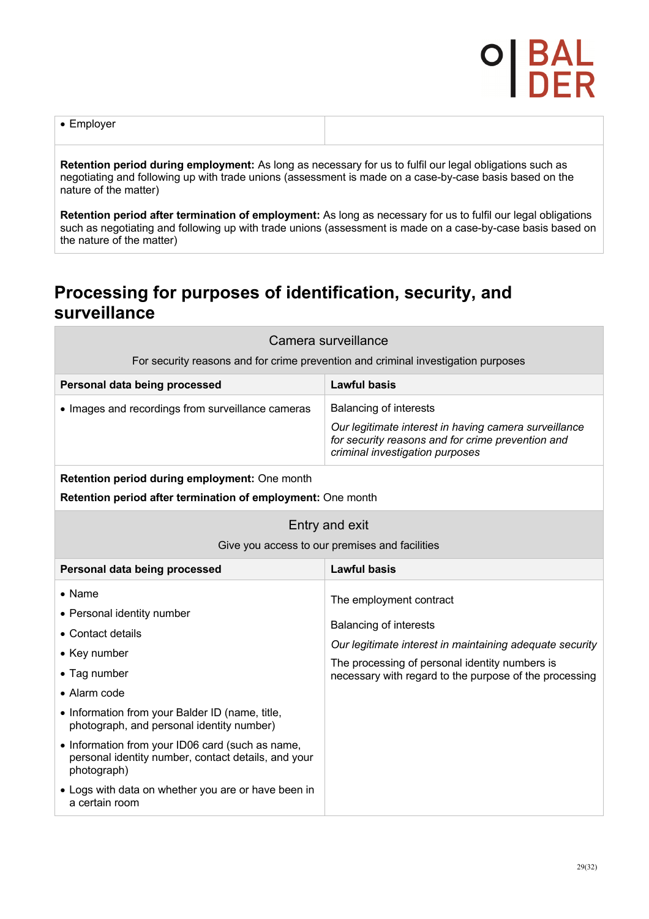• Employer

**Retention period during employment:** As long as necessary for us to fulfil our legal obligations such as negotiating and following up with trade unions (assessment is made on a case-by-case basis based on the nature of the matter)

**Retention period after termination of employment:** As long as necessary for us to fulfil our legal obligations such as negotiating and following up with trade unions (assessment is made on a case-by-case basis based on the nature of the matter)

### **Processing for purposes of identification, security, and surveillance**

| Camera surveillance                                                                                                    |                                                                                                                                               |  |  |
|------------------------------------------------------------------------------------------------------------------------|-----------------------------------------------------------------------------------------------------------------------------------------------|--|--|
|                                                                                                                        | For security reasons and for crime prevention and criminal investigation purposes                                                             |  |  |
| Personal data being processed                                                                                          | <b>Lawful basis</b>                                                                                                                           |  |  |
| • Images and recordings from surveillance cameras                                                                      | <b>Balancing of interests</b>                                                                                                                 |  |  |
|                                                                                                                        | Our legitimate interest in having camera surveillance<br>for security reasons and for crime prevention and<br>criminal investigation purposes |  |  |
| Retention period during employment: One month                                                                          |                                                                                                                                               |  |  |
| <b>Retention period after termination of employment:</b> One month                                                     |                                                                                                                                               |  |  |
| Entry and exit                                                                                                         |                                                                                                                                               |  |  |
| Give you access to our premises and facilities                                                                         |                                                                                                                                               |  |  |
| Personal data being processed                                                                                          | <b>Lawful basis</b>                                                                                                                           |  |  |
| • Name                                                                                                                 | The employment contract                                                                                                                       |  |  |
| • Personal identity number                                                                                             |                                                                                                                                               |  |  |
| • Contact details                                                                                                      | Balancing of interests                                                                                                                        |  |  |
| • Key number                                                                                                           | Our legitimate interest in maintaining adequate security                                                                                      |  |  |
| • Tag number                                                                                                           | The processing of personal identity numbers is<br>necessary with regard to the purpose of the processing                                      |  |  |
| • Alarm code                                                                                                           |                                                                                                                                               |  |  |
| • Information from your Balder ID (name, title,<br>photograph, and personal identity number)                           |                                                                                                                                               |  |  |
| • Information from your ID06 card (such as name,<br>personal identity number, contact details, and your<br>photograph) |                                                                                                                                               |  |  |
| • Logs with data on whether you are or have been in<br>a certain room                                                  |                                                                                                                                               |  |  |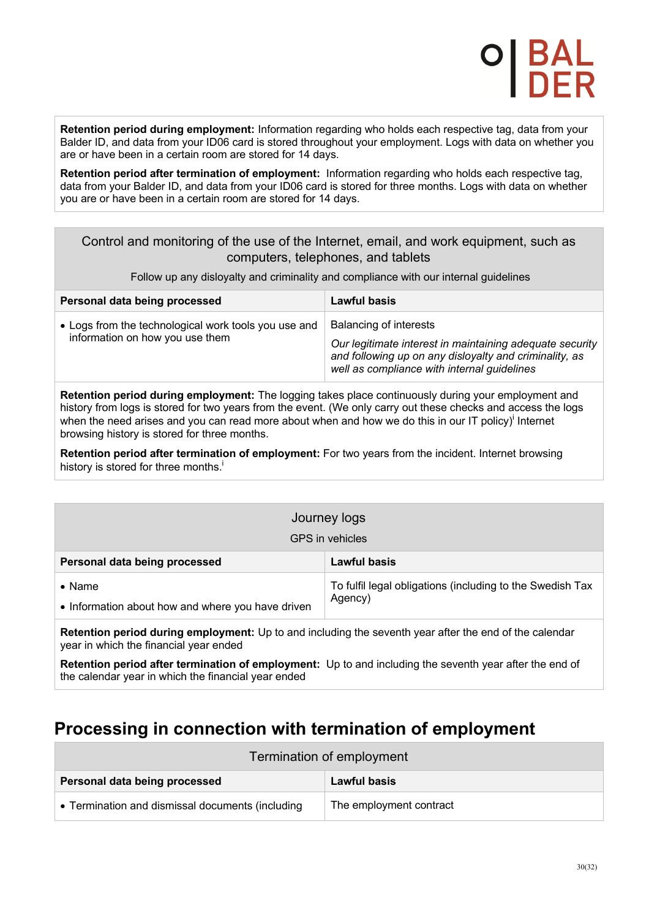**Retention period during employment:** Information regarding who holds each respective tag, data from your Balder ID, and data from your ID06 card is stored throughout your employment. Logs with data on whether you are or have been in a certain room are stored for 14 days.

**Retention period after termination of employment:** Information regarding who holds each respective tag, data from your Balder ID, and data from your ID06 card is stored for three months. Logs with data on whether you are or have been in a certain room are stored for 14 days.

#### Control and monitoring of the use of the Internet, email, and work equipment, such as computers, telephones, and tablets

Follow up any disloyalty and criminality and compliance with our internal guidelines

| Personal data being processed                                                           | Lawful basis                                                                                                                                                                                |
|-----------------------------------------------------------------------------------------|---------------------------------------------------------------------------------------------------------------------------------------------------------------------------------------------|
| • Logs from the technological work tools you use and<br>information on how you use them | Balancing of interests<br>Our legitimate interest in maintaining adequate security<br>and following up on any disloyalty and criminality, as<br>well as compliance with internal guidelines |

**Retention period during employment:** The logging takes place continuously during your employment and history from logs is stored for two years from the event. (We only carry out these checks and access the logs when the need arises and you can read more about when and how we do this in our IT policy)<sup>i</sup> Internet browsing history is stored for three months.

**Retention period after termination of employment:** For two years from the incident. Internet browsing history is stored for three months.<sup>i</sup>

| Journey logs<br><b>GPS</b> in vehicles                              |                                                                      |
|---------------------------------------------------------------------|----------------------------------------------------------------------|
| Personal data being processed                                       | Lawful basis                                                         |
| $\bullet$ Name<br>• Information about how and where you have driven | To fulfil legal obligations (including to the Swedish Tax<br>Agency) |

**Retention period during employment:** Up to and including the seventh year after the end of the calendar year in which the financial year ended

**Retention period after termination of employment:** Up to and including the seventh year after the end of the calendar year in which the financial year ended

## **Processing in connection with termination of employment**

| Termination of employment                        |                         |  |
|--------------------------------------------------|-------------------------|--|
| Personal data being processed                    | Lawful basis            |  |
| • Termination and dismissal documents (including | The employment contract |  |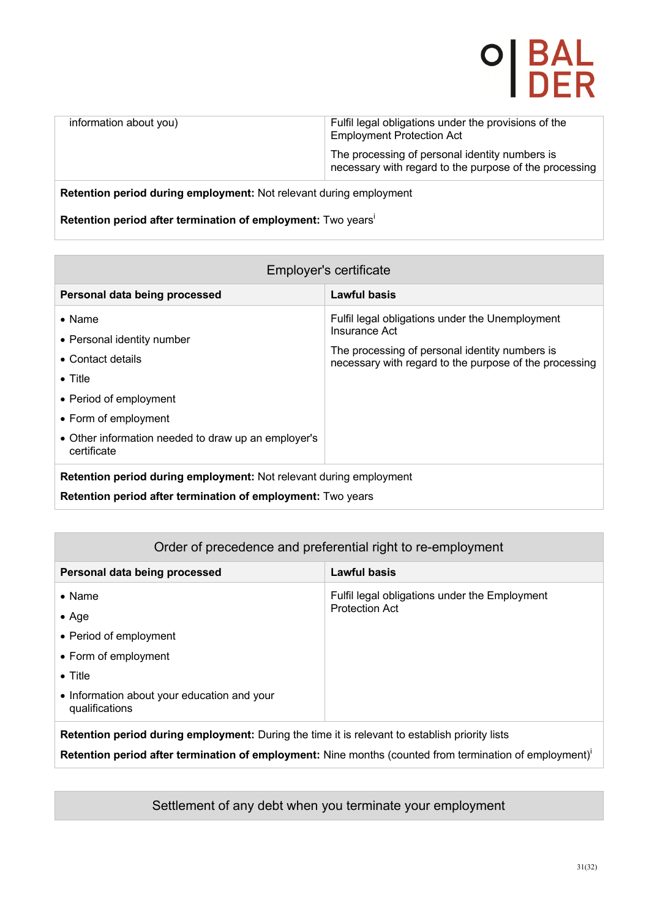## O| BAL<br>I DER

| information about you) | Fulfil legal obligations under the provisions of the<br><b>Employment Protection Act</b>                 |
|------------------------|----------------------------------------------------------------------------------------------------------|
|                        | The processing of personal identity numbers is<br>necessary with regard to the purpose of the processing |
|                        |                                                                                                          |

#### **Retention period during employment:** Not relevant during employment

**Retention period after termination of employment:** Two yearsi

| Employer's certificate                                                                                                                                                                                       |                                                                                                                                                                              |  |
|--------------------------------------------------------------------------------------------------------------------------------------------------------------------------------------------------------------|------------------------------------------------------------------------------------------------------------------------------------------------------------------------------|--|
| Personal data being processed                                                                                                                                                                                | <b>Lawful basis</b>                                                                                                                                                          |  |
| $\bullet$ Name<br>• Personal identity number<br>• Contact details<br>$\bullet$ Title<br>• Period of employment<br>• Form of employment<br>• Other information needed to draw up an employer's<br>certificate | Fulfil legal obligations under the Unemployment<br>Insurance Act<br>The processing of personal identity numbers is<br>necessary with regard to the purpose of the processing |  |
| Retention period during employment: Not relevant during employment<br>Retention period after termination of employment: Two years                                                                            |                                                                                                                                                                              |  |

#### Order of precedence and preferential right to re-employment

| Personal data being processed                                                                         | Lawful basis                                                           |  |
|-------------------------------------------------------------------------------------------------------|------------------------------------------------------------------------|--|
| $\bullet$ Name                                                                                        | Fulfil legal obligations under the Employment<br><b>Protection Act</b> |  |
| $\bullet$ Age                                                                                         |                                                                        |  |
| • Period of employment                                                                                |                                                                        |  |
| • Form of employment                                                                                  |                                                                        |  |
| $\bullet$ Title                                                                                       |                                                                        |  |
| • Information about your education and your<br>qualifications                                         |                                                                        |  |
| <b>Detention period during employment:</b> During the time it is relevant to establish priority lists |                                                                        |  |

**Retention period during employment:** During the time it is relevant to establish priority lists

**Retention period after termination of employment:** Nine months (counted from termination of employment)<sup>i</sup>

#### Settlement of any debt when you terminate your employment